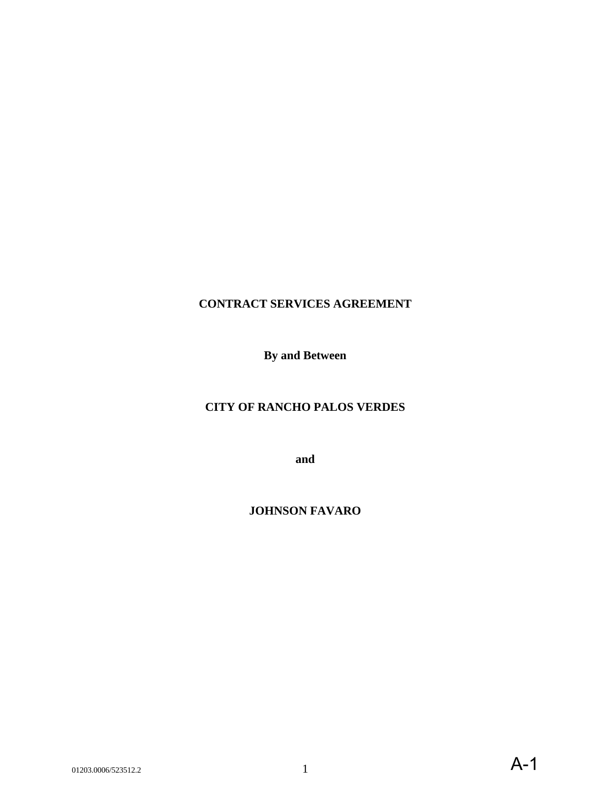# **CONTRACT SERVICES AGREEMENT**

**By and Between**

## **CITY OF RANCHO PALOS VERDES**

**and** 

**JOHNSON FAVARO**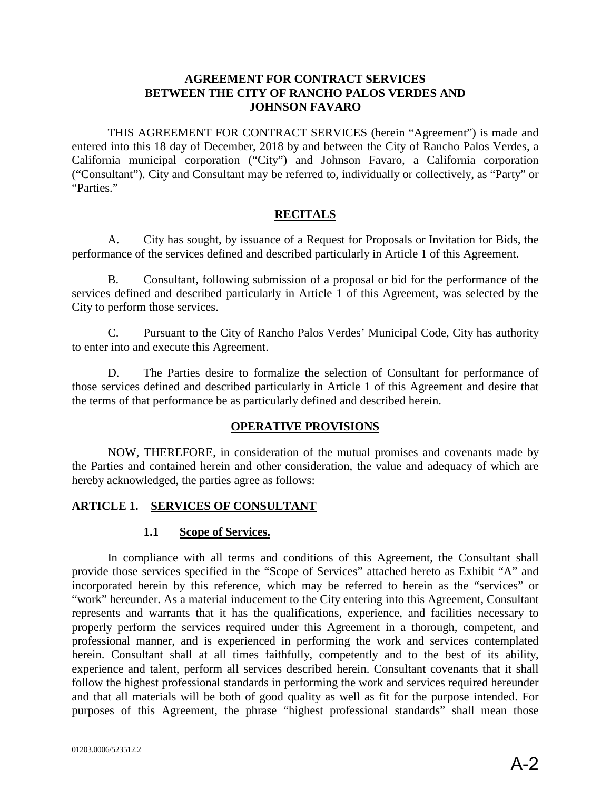#### **AGREEMENT FOR CONTRACT SERVICES BETWEEN THE CITY OF RANCHO PALOS VERDES AND JOHNSON FAVARO**

THIS AGREEMENT FOR CONTRACT SERVICES (herein "Agreement") is made and entered into this 18 day of December, 2018 by and between the City of Rancho Palos Verdes, a California municipal corporation ("City") and Johnson Favaro, a California corporation ("Consultant"). City and Consultant may be referred to, individually or collectively, as "Party" or "Parties."

#### **RECITALS**

A. City has sought, by issuance of a Request for Proposals or Invitation for Bids, the performance of the services defined and described particularly in Article 1 of this Agreement.

B. Consultant, following submission of a proposal or bid for the performance of the services defined and described particularly in Article 1 of this Agreement, was selected by the City to perform those services.

C. Pursuant to the City of Rancho Palos Verdes' Municipal Code, City has authority to enter into and execute this Agreement.

D. The Parties desire to formalize the selection of Consultant for performance of those services defined and described particularly in Article 1 of this Agreement and desire that the terms of that performance be as particularly defined and described herein.

#### **OPERATIVE PROVISIONS**

NOW, THEREFORE, in consideration of the mutual promises and covenants made by the Parties and contained herein and other consideration, the value and adequacy of which are hereby acknowledged, the parties agree as follows:

#### **ARTICLE 1. SERVICES OF CONSULTANT**

#### **1.1 Scope of Services.**

In compliance with all terms and conditions of this Agreement, the Consultant shall provide those services specified in the "Scope of Services" attached hereto as Exhibit "A" and incorporated herein by this reference, which may be referred to herein as the "services" or "work" hereunder. As a material inducement to the City entering into this Agreement, Consultant represents and warrants that it has the qualifications, experience, and facilities necessary to properly perform the services required under this Agreement in a thorough, competent, and professional manner, and is experienced in performing the work and services contemplated herein. Consultant shall at all times faithfully, competently and to the best of its ability, experience and talent, perform all services described herein. Consultant covenants that it shall follow the highest professional standards in performing the work and services required hereunder and that all materials will be both of good quality as well as fit for the purpose intended. For purposes of this Agreement, the phrase "highest professional standards" shall mean those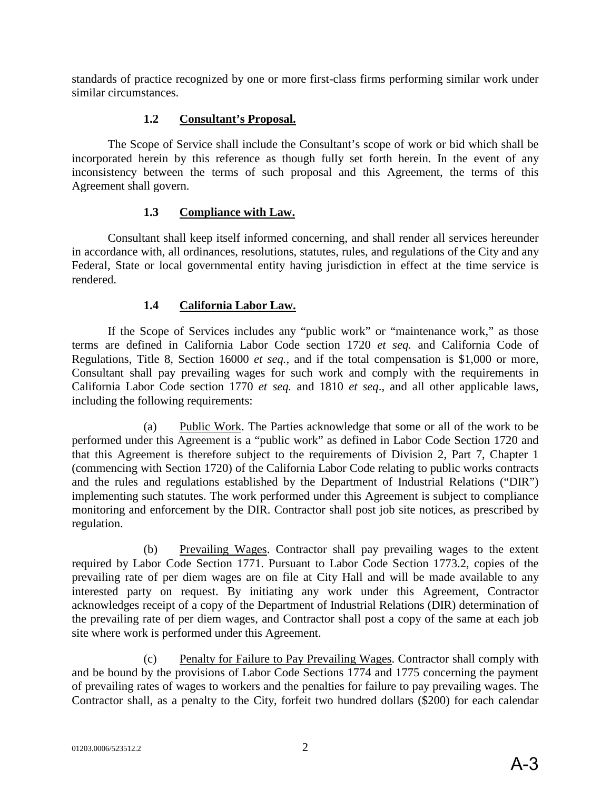standards of practice recognized by one or more first-class firms performing similar work under similar circumstances.

## **1.2 Consultant's Proposal.**

The Scope of Service shall include the Consultant's scope of work or bid which shall be incorporated herein by this reference as though fully set forth herein. In the event of any inconsistency between the terms of such proposal and this Agreement, the terms of this Agreement shall govern.

## **1.3 Compliance with Law.**

Consultant shall keep itself informed concerning, and shall render all services hereunder in accordance with, all ordinances, resolutions, statutes, rules, and regulations of the City and any Federal, State or local governmental entity having jurisdiction in effect at the time service is rendered.

## **1.4 California Labor Law.**

If the Scope of Services includes any "public work" or "maintenance work," as those terms are defined in California Labor Code section 1720 *et seq.* and California Code of Regulations, Title 8, Section 16000 *et seq.*, and if the total compensation is \$1,000 or more, Consultant shall pay prevailing wages for such work and comply with the requirements in California Labor Code section 1770 *et seq.* and 1810 *et seq*., and all other applicable laws, including the following requirements:

(a) Public Work. The Parties acknowledge that some or all of the work to be performed under this Agreement is a "public work" as defined in Labor Code Section 1720 and that this Agreement is therefore subject to the requirements of Division 2, Part 7, Chapter 1 (commencing with Section 1720) of the California Labor Code relating to public works contracts and the rules and regulations established by the Department of Industrial Relations ("DIR") implementing such statutes. The work performed under this Agreement is subject to compliance monitoring and enforcement by the DIR. Contractor shall post job site notices, as prescribed by regulation.

(b) Prevailing Wages. Contractor shall pay prevailing wages to the extent required by Labor Code Section 1771. Pursuant to Labor Code Section 1773.2, copies of the prevailing rate of per diem wages are on file at City Hall and will be made available to any interested party on request. By initiating any work under this Agreement, Contractor acknowledges receipt of a copy of the Department of Industrial Relations (DIR) determination of the prevailing rate of per diem wages, and Contractor shall post a copy of the same at each job site where work is performed under this Agreement.

(c) Penalty for Failure to Pay Prevailing Wages. Contractor shall comply with and be bound by the provisions of Labor Code Sections 1774 and 1775 concerning the payment of prevailing rates of wages to workers and the penalties for failure to pay prevailing wages. The Contractor shall, as a penalty to the City, forfeit two hundred dollars (\$200) for each calendar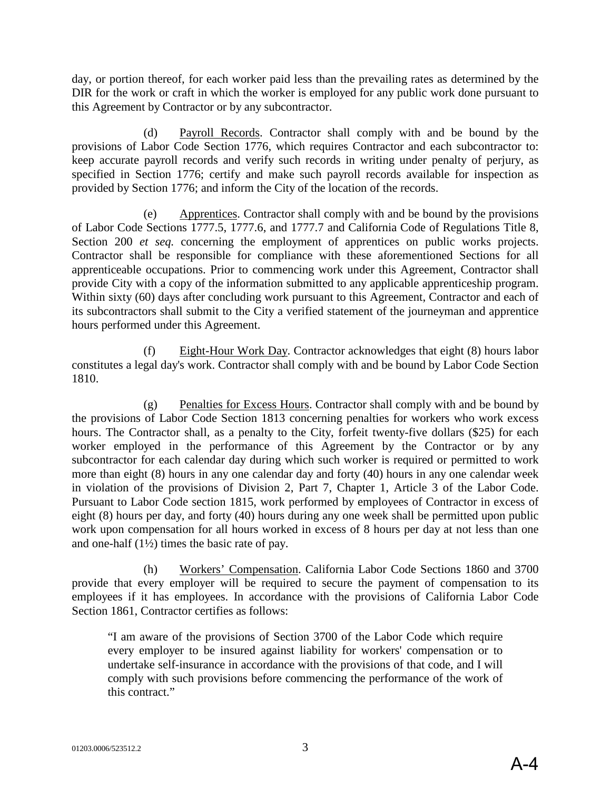day, or portion thereof, for each worker paid less than the prevailing rates as determined by the DIR for the work or craft in which the worker is employed for any public work done pursuant to this Agreement by Contractor or by any subcontractor.

(d) Payroll Records. Contractor shall comply with and be bound by the provisions of Labor Code Section 1776, which requires Contractor and each subcontractor to: keep accurate payroll records and verify such records in writing under penalty of perjury, as specified in Section 1776; certify and make such payroll records available for inspection as provided by Section 1776; and inform the City of the location of the records.

(e) Apprentices. Contractor shall comply with and be bound by the provisions of Labor Code Sections 1777.5, 1777.6, and 1777.7 and California Code of Regulations Title 8, Section 200 *et seq.* concerning the employment of apprentices on public works projects. Contractor shall be responsible for compliance with these aforementioned Sections for all apprenticeable occupations. Prior to commencing work under this Agreement, Contractor shall provide City with a copy of the information submitted to any applicable apprenticeship program. Within sixty (60) days after concluding work pursuant to this Agreement, Contractor and each of its subcontractors shall submit to the City a verified statement of the journeyman and apprentice hours performed under this Agreement.

(f) Eight-Hour Work Day. Contractor acknowledges that eight (8) hours labor constitutes a legal day's work. Contractor shall comply with and be bound by Labor Code Section 1810.

(g) Penalties for Excess Hours. Contractor shall comply with and be bound by the provisions of Labor Code Section 1813 concerning penalties for workers who work excess hours. The Contractor shall, as a penalty to the City, forfeit twenty-five dollars (\$25) for each worker employed in the performance of this Agreement by the Contractor or by any subcontractor for each calendar day during which such worker is required or permitted to work more than eight (8) hours in any one calendar day and forty (40) hours in any one calendar week in violation of the provisions of Division 2, Part 7, Chapter 1, Article 3 of the Labor Code. Pursuant to Labor Code section 1815, work performed by employees of Contractor in excess of eight (8) hours per day, and forty (40) hours during any one week shall be permitted upon public work upon compensation for all hours worked in excess of 8 hours per day at not less than one and one-half (1½) times the basic rate of pay.

(h) Workers' Compensation. California Labor Code Sections 1860 and 3700 provide that every employer will be required to secure the payment of compensation to its employees if it has employees. In accordance with the provisions of California Labor Code Section 1861, Contractor certifies as follows:

"I am aware of the provisions of Section 3700 of the Labor Code which require every employer to be insured against liability for workers' compensation or to undertake self-insurance in accordance with the provisions of that code, and I will comply with such provisions before commencing the performance of the work of this contract."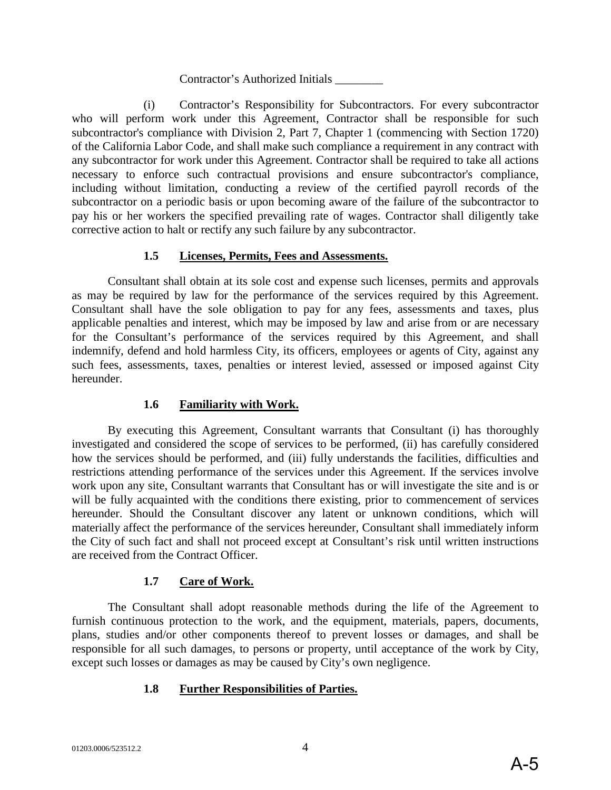Contractor's Authorized Initials \_\_\_\_\_\_\_\_

(i) Contractor's Responsibility for Subcontractors. For every subcontractor who will perform work under this Agreement, Contractor shall be responsible for such subcontractor's compliance with Division 2, Part 7, Chapter 1 (commencing with Section 1720) of the California Labor Code, and shall make such compliance a requirement in any contract with any subcontractor for work under this Agreement. Contractor shall be required to take all actions necessary to enforce such contractual provisions and ensure subcontractor's compliance, including without limitation, conducting a review of the certified payroll records of the subcontractor on a periodic basis or upon becoming aware of the failure of the subcontractor to pay his or her workers the specified prevailing rate of wages. Contractor shall diligently take corrective action to halt or rectify any such failure by any subcontractor.

## **1.5 Licenses, Permits, Fees and Assessments.**

Consultant shall obtain at its sole cost and expense such licenses, permits and approvals as may be required by law for the performance of the services required by this Agreement. Consultant shall have the sole obligation to pay for any fees, assessments and taxes, plus applicable penalties and interest, which may be imposed by law and arise from or are necessary for the Consultant's performance of the services required by this Agreement, and shall indemnify, defend and hold harmless City, its officers, employees or agents of City, against any such fees, assessments, taxes, penalties or interest levied, assessed or imposed against City hereunder.

## **1.6 Familiarity with Work.**

By executing this Agreement, Consultant warrants that Consultant (i) has thoroughly investigated and considered the scope of services to be performed, (ii) has carefully considered how the services should be performed, and (iii) fully understands the facilities, difficulties and restrictions attending performance of the services under this Agreement. If the services involve work upon any site, Consultant warrants that Consultant has or will investigate the site and is or will be fully acquainted with the conditions there existing, prior to commencement of services hereunder. Should the Consultant discover any latent or unknown conditions, which will materially affect the performance of the services hereunder, Consultant shall immediately inform the City of such fact and shall not proceed except at Consultant's risk until written instructions are received from the Contract Officer.

## **1.7 Care of Work.**

The Consultant shall adopt reasonable methods during the life of the Agreement to furnish continuous protection to the work, and the equipment, materials, papers, documents, plans, studies and/or other components thereof to prevent losses or damages, and shall be responsible for all such damages, to persons or property, until acceptance of the work by City, except such losses or damages as may be caused by City's own negligence.

## **1.8 Further Responsibilities of Parties.**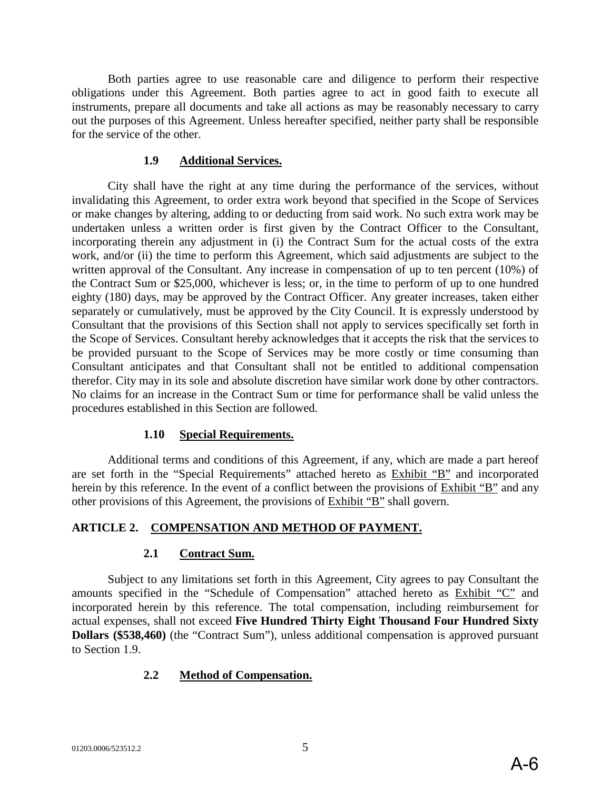Both parties agree to use reasonable care and diligence to perform their respective obligations under this Agreement. Both parties agree to act in good faith to execute all instruments, prepare all documents and take all actions as may be reasonably necessary to carry out the purposes of this Agreement. Unless hereafter specified, neither party shall be responsible for the service of the other.

#### **1.9 Additional Services.**

City shall have the right at any time during the performance of the services, without invalidating this Agreement, to order extra work beyond that specified in the Scope of Services or make changes by altering, adding to or deducting from said work. No such extra work may be undertaken unless a written order is first given by the Contract Officer to the Consultant, incorporating therein any adjustment in (i) the Contract Sum for the actual costs of the extra work, and/or (ii) the time to perform this Agreement, which said adjustments are subject to the written approval of the Consultant. Any increase in compensation of up to ten percent (10%) of the Contract Sum or \$25,000, whichever is less; or, in the time to perform of up to one hundred eighty (180) days, may be approved by the Contract Officer. Any greater increases, taken either separately or cumulatively, must be approved by the City Council. It is expressly understood by Consultant that the provisions of this Section shall not apply to services specifically set forth in the Scope of Services. Consultant hereby acknowledges that it accepts the risk that the services to be provided pursuant to the Scope of Services may be more costly or time consuming than Consultant anticipates and that Consultant shall not be entitled to additional compensation therefor. City may in its sole and absolute discretion have similar work done by other contractors. No claims for an increase in the Contract Sum or time for performance shall be valid unless the procedures established in this Section are followed.

#### **1.10 Special Requirements.**

Additional terms and conditions of this Agreement, if any, which are made a part hereof are set forth in the "Special Requirements" attached hereto as Exhibit "B" and incorporated herein by this reference. In the event of a conflict between the provisions of Exhibit "B" and any other provisions of this Agreement, the provisions of Exhibit "B" shall govern.

#### **ARTICLE 2. COMPENSATION AND METHOD OF PAYMENT.**

#### **2.1 Contract Sum.**

Subject to any limitations set forth in this Agreement, City agrees to pay Consultant the amounts specified in the "Schedule of Compensation" attached hereto as Exhibit "C" and incorporated herein by this reference. The total compensation, including reimbursement for actual expenses, shall not exceed **Five Hundred Thirty Eight Thousand Four Hundred Sixty Dollars (\$538,460)** (the "Contract Sum"), unless additional compensation is approved pursuant to Section 1.9.

#### **2.2 Method of Compensation.**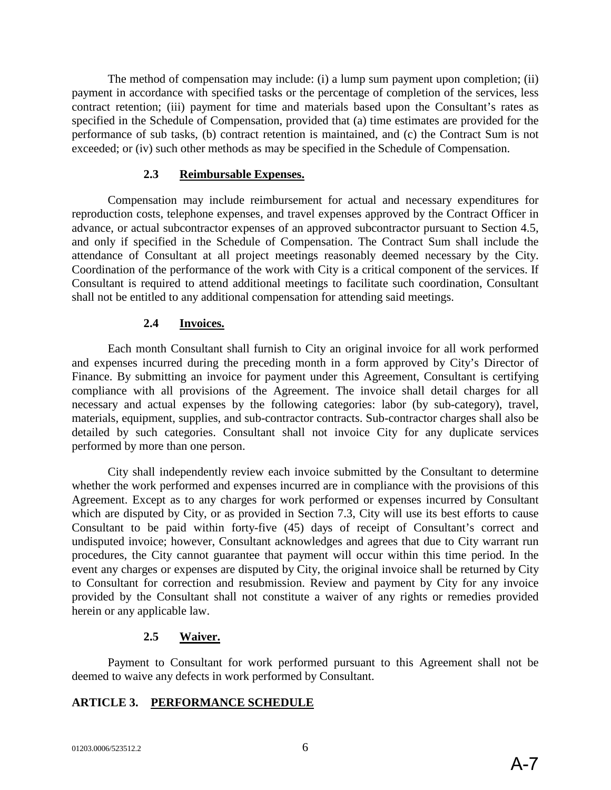The method of compensation may include: (i) a lump sum payment upon completion; (ii) payment in accordance with specified tasks or the percentage of completion of the services, less contract retention; (iii) payment for time and materials based upon the Consultant's rates as specified in the Schedule of Compensation, provided that (a) time estimates are provided for the performance of sub tasks, (b) contract retention is maintained, and (c) the Contract Sum is not exceeded; or (iv) such other methods as may be specified in the Schedule of Compensation.

#### **2.3 Reimbursable Expenses.**

Compensation may include reimbursement for actual and necessary expenditures for reproduction costs, telephone expenses, and travel expenses approved by the Contract Officer in advance, or actual subcontractor expenses of an approved subcontractor pursuant to Section 4.5, and only if specified in the Schedule of Compensation. The Contract Sum shall include the attendance of Consultant at all project meetings reasonably deemed necessary by the City. Coordination of the performance of the work with City is a critical component of the services. If Consultant is required to attend additional meetings to facilitate such coordination, Consultant shall not be entitled to any additional compensation for attending said meetings.

#### **2.4 Invoices.**

Each month Consultant shall furnish to City an original invoice for all work performed and expenses incurred during the preceding month in a form approved by City's Director of Finance. By submitting an invoice for payment under this Agreement, Consultant is certifying compliance with all provisions of the Agreement. The invoice shall detail charges for all necessary and actual expenses by the following categories: labor (by sub-category), travel, materials, equipment, supplies, and sub-contractor contracts. Sub-contractor charges shall also be detailed by such categories. Consultant shall not invoice City for any duplicate services performed by more than one person.

City shall independently review each invoice submitted by the Consultant to determine whether the work performed and expenses incurred are in compliance with the provisions of this Agreement. Except as to any charges for work performed or expenses incurred by Consultant which are disputed by City, or as provided in Section 7.3, City will use its best efforts to cause Consultant to be paid within forty-five (45) days of receipt of Consultant's correct and undisputed invoice; however, Consultant acknowledges and agrees that due to City warrant run procedures, the City cannot guarantee that payment will occur within this time period. In the event any charges or expenses are disputed by City, the original invoice shall be returned by City to Consultant for correction and resubmission. Review and payment by City for any invoice provided by the Consultant shall not constitute a waiver of any rights or remedies provided herein or any applicable law.

#### **2.5 Waiver.**

Payment to Consultant for work performed pursuant to this Agreement shall not be deemed to waive any defects in work performed by Consultant.

## **ARTICLE 3. PERFORMANCE SCHEDULE**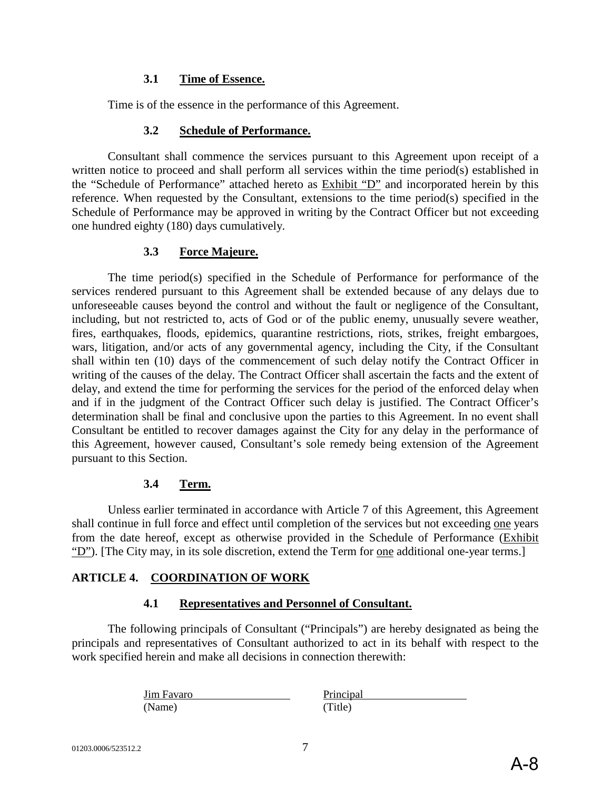#### **3.1 Time of Essence.**

Time is of the essence in the performance of this Agreement.

#### **3.2 Schedule of Performance.**

Consultant shall commence the services pursuant to this Agreement upon receipt of a written notice to proceed and shall perform all services within the time period(s) established in the "Schedule of Performance" attached hereto as Exhibit "D" and incorporated herein by this reference. When requested by the Consultant, extensions to the time period(s) specified in the Schedule of Performance may be approved in writing by the Contract Officer but not exceeding one hundred eighty (180) days cumulatively.

#### **3.3 Force Majeure.**

The time period(s) specified in the Schedule of Performance for performance of the services rendered pursuant to this Agreement shall be extended because of any delays due to unforeseeable causes beyond the control and without the fault or negligence of the Consultant, including, but not restricted to, acts of God or of the public enemy, unusually severe weather, fires, earthquakes, floods, epidemics, quarantine restrictions, riots, strikes, freight embargoes, wars, litigation, and/or acts of any governmental agency, including the City, if the Consultant shall within ten (10) days of the commencement of such delay notify the Contract Officer in writing of the causes of the delay. The Contract Officer shall ascertain the facts and the extent of delay, and extend the time for performing the services for the period of the enforced delay when and if in the judgment of the Contract Officer such delay is justified. The Contract Officer's determination shall be final and conclusive upon the parties to this Agreement. In no event shall Consultant be entitled to recover damages against the City for any delay in the performance of this Agreement, however caused, Consultant's sole remedy being extension of the Agreement pursuant to this Section.

#### **3.4 Term.**

Unless earlier terminated in accordance with Article 7 of this Agreement, this Agreement shall continue in full force and effect until completion of the services but not exceeding one years from the date hereof, except as otherwise provided in the Schedule of Performance (Exhibit "D"). [The City may, in its sole discretion, extend the Term for one additional one-year terms.]

#### **ARTICLE 4. COORDINATION OF WORK**

#### **4.1 Representatives and Personnel of Consultant.**

The following principals of Consultant ("Principals") are hereby designated as being the principals and representatives of Consultant authorized to act in its behalf with respect to the work specified herein and make all decisions in connection therewith:

> Jim Favaro Principal (Name) (Title)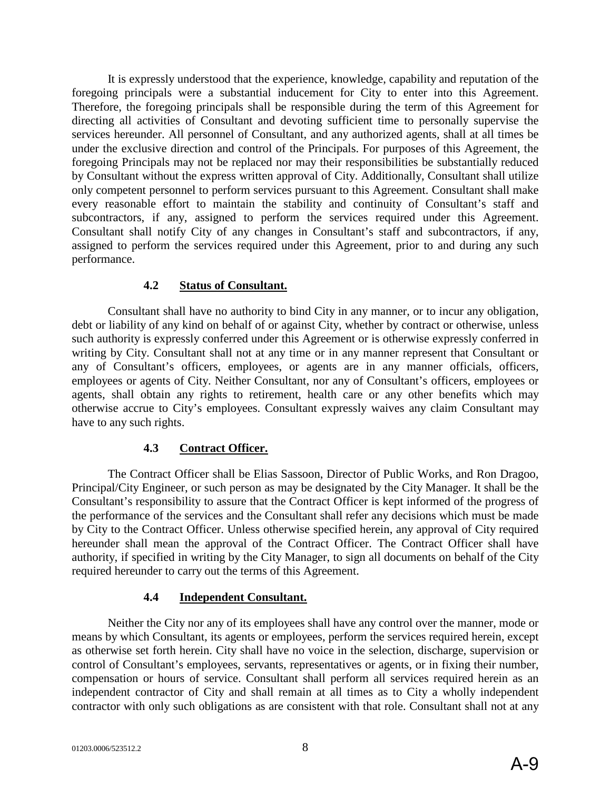It is expressly understood that the experience, knowledge, capability and reputation of the foregoing principals were a substantial inducement for City to enter into this Agreement. Therefore, the foregoing principals shall be responsible during the term of this Agreement for directing all activities of Consultant and devoting sufficient time to personally supervise the services hereunder. All personnel of Consultant, and any authorized agents, shall at all times be under the exclusive direction and control of the Principals. For purposes of this Agreement, the foregoing Principals may not be replaced nor may their responsibilities be substantially reduced by Consultant without the express written approval of City. Additionally, Consultant shall utilize only competent personnel to perform services pursuant to this Agreement. Consultant shall make every reasonable effort to maintain the stability and continuity of Consultant's staff and subcontractors, if any, assigned to perform the services required under this Agreement. Consultant shall notify City of any changes in Consultant's staff and subcontractors, if any, assigned to perform the services required under this Agreement, prior to and during any such performance.

#### **4.2 Status of Consultant.**

Consultant shall have no authority to bind City in any manner, or to incur any obligation, debt or liability of any kind on behalf of or against City, whether by contract or otherwise, unless such authority is expressly conferred under this Agreement or is otherwise expressly conferred in writing by City. Consultant shall not at any time or in any manner represent that Consultant or any of Consultant's officers, employees, or agents are in any manner officials, officers, employees or agents of City. Neither Consultant, nor any of Consultant's officers, employees or agents, shall obtain any rights to retirement, health care or any other benefits which may otherwise accrue to City's employees. Consultant expressly waives any claim Consultant may have to any such rights.

## **4.3 Contract Officer.**

The Contract Officer shall be Elias Sassoon, Director of Public Works, and Ron Dragoo, Principal/City Engineer, or such person as may be designated by the City Manager. It shall be the Consultant's responsibility to assure that the Contract Officer is kept informed of the progress of the performance of the services and the Consultant shall refer any decisions which must be made by City to the Contract Officer. Unless otherwise specified herein, any approval of City required hereunder shall mean the approval of the Contract Officer. The Contract Officer shall have authority, if specified in writing by the City Manager, to sign all documents on behalf of the City required hereunder to carry out the terms of this Agreement.

## **4.4 Independent Consultant.**

Neither the City nor any of its employees shall have any control over the manner, mode or means by which Consultant, its agents or employees, perform the services required herein, except as otherwise set forth herein. City shall have no voice in the selection, discharge, supervision or control of Consultant's employees, servants, representatives or agents, or in fixing their number, compensation or hours of service. Consultant shall perform all services required herein as an independent contractor of City and shall remain at all times as to City a wholly independent contractor with only such obligations as are consistent with that role. Consultant shall not at any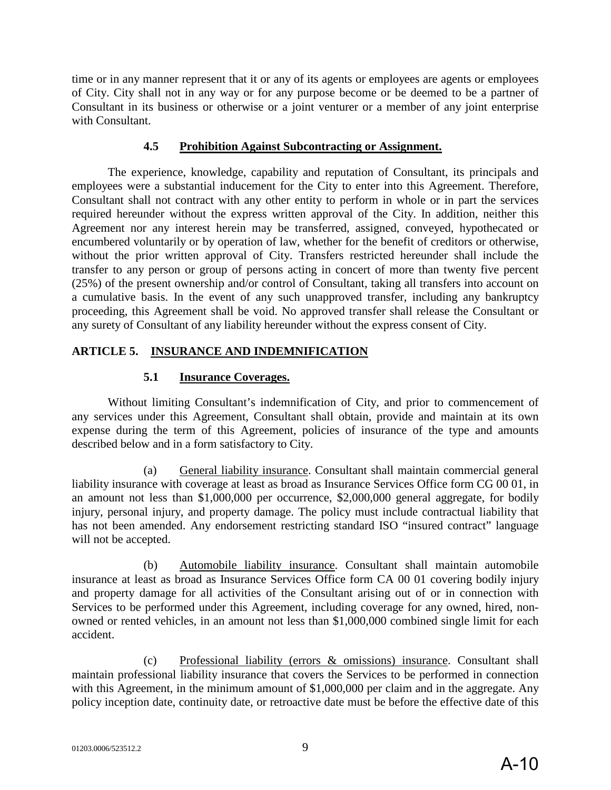time or in any manner represent that it or any of its agents or employees are agents or employees of City. City shall not in any way or for any purpose become or be deemed to be a partner of Consultant in its business or otherwise or a joint venturer or a member of any joint enterprise with Consultant.

#### **4.5 Prohibition Against Subcontracting or Assignment.**

The experience, knowledge, capability and reputation of Consultant, its principals and employees were a substantial inducement for the City to enter into this Agreement. Therefore, Consultant shall not contract with any other entity to perform in whole or in part the services required hereunder without the express written approval of the City. In addition, neither this Agreement nor any interest herein may be transferred, assigned, conveyed, hypothecated or encumbered voluntarily or by operation of law, whether for the benefit of creditors or otherwise, without the prior written approval of City. Transfers restricted hereunder shall include the transfer to any person or group of persons acting in concert of more than twenty five percent (25%) of the present ownership and/or control of Consultant, taking all transfers into account on a cumulative basis. In the event of any such unapproved transfer, including any bankruptcy proceeding, this Agreement shall be void. No approved transfer shall release the Consultant or any surety of Consultant of any liability hereunder without the express consent of City.

## **ARTICLE 5. INSURANCE AND INDEMNIFICATION**

## **5.1 Insurance Coverages.**

Without limiting Consultant's indemnification of City, and prior to commencement of any services under this Agreement, Consultant shall obtain, provide and maintain at its own expense during the term of this Agreement, policies of insurance of the type and amounts described below and in a form satisfactory to City.

(a) General liability insurance. Consultant shall maintain commercial general liability insurance with coverage at least as broad as Insurance Services Office form CG 00 01, in an amount not less than \$1,000,000 per occurrence, \$2,000,000 general aggregate, for bodily injury, personal injury, and property damage. The policy must include contractual liability that has not been amended. Any endorsement restricting standard ISO "insured contract" language will not be accepted.

(b) Automobile liability insurance. Consultant shall maintain automobile insurance at least as broad as Insurance Services Office form CA 00 01 covering bodily injury and property damage for all activities of the Consultant arising out of or in connection with Services to be performed under this Agreement, including coverage for any owned, hired, nonowned or rented vehicles, in an amount not less than \$1,000,000 combined single limit for each accident.

(c) Professional liability (errors & omissions) insurance. Consultant shall maintain professional liability insurance that covers the Services to be performed in connection with this Agreement, in the minimum amount of \$1,000,000 per claim and in the aggregate. Any policy inception date, continuity date, or retroactive date must be before the effective date of this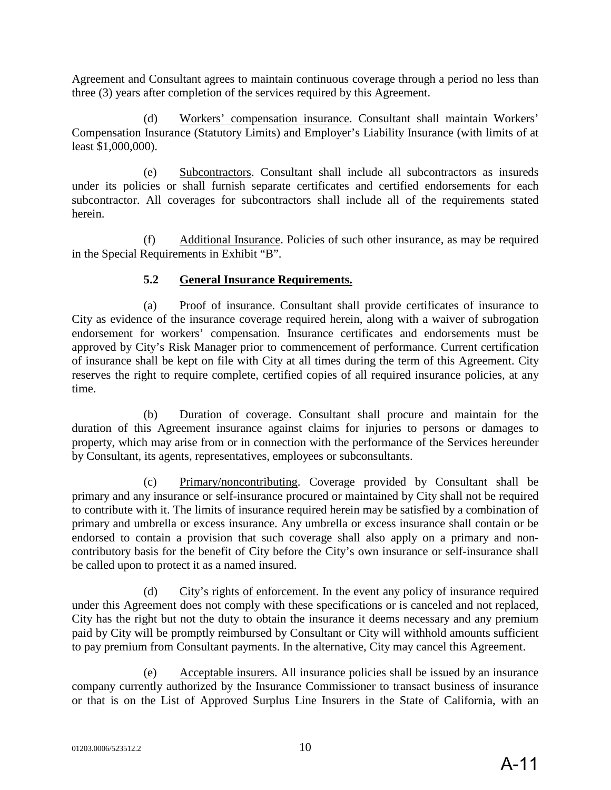Agreement and Consultant agrees to maintain continuous coverage through a period no less than three (3) years after completion of the services required by this Agreement.

(d) Workers' compensation insurance. Consultant shall maintain Workers' Compensation Insurance (Statutory Limits) and Employer's Liability Insurance (with limits of at least \$1,000,000).

(e) Subcontractors. Consultant shall include all subcontractors as insureds under its policies or shall furnish separate certificates and certified endorsements for each subcontractor. All coverages for subcontractors shall include all of the requirements stated herein.

(f) Additional Insurance. Policies of such other insurance, as may be required in the Special Requirements in Exhibit "B".

## **5.2 General Insurance Requirements.**

(a) Proof of insurance. Consultant shall provide certificates of insurance to City as evidence of the insurance coverage required herein, along with a waiver of subrogation endorsement for workers' compensation. Insurance certificates and endorsements must be approved by City's Risk Manager prior to commencement of performance. Current certification of insurance shall be kept on file with City at all times during the term of this Agreement. City reserves the right to require complete, certified copies of all required insurance policies, at any time.

(b) Duration of coverage. Consultant shall procure and maintain for the duration of this Agreement insurance against claims for injuries to persons or damages to property, which may arise from or in connection with the performance of the Services hereunder by Consultant, its agents, representatives, employees or subconsultants.

(c) Primary/noncontributing. Coverage provided by Consultant shall be primary and any insurance or self-insurance procured or maintained by City shall not be required to contribute with it. The limits of insurance required herein may be satisfied by a combination of primary and umbrella or excess insurance. Any umbrella or excess insurance shall contain or be endorsed to contain a provision that such coverage shall also apply on a primary and noncontributory basis for the benefit of City before the City's own insurance or self-insurance shall be called upon to protect it as a named insured.

(d) City's rights of enforcement. In the event any policy of insurance required under this Agreement does not comply with these specifications or is canceled and not replaced, City has the right but not the duty to obtain the insurance it deems necessary and any premium paid by City will be promptly reimbursed by Consultant or City will withhold amounts sufficient to pay premium from Consultant payments. In the alternative, City may cancel this Agreement.

(e) Acceptable insurers. All insurance policies shall be issued by an insurance company currently authorized by the Insurance Commissioner to transact business of insurance or that is on the List of Approved Surplus Line Insurers in the State of California, with an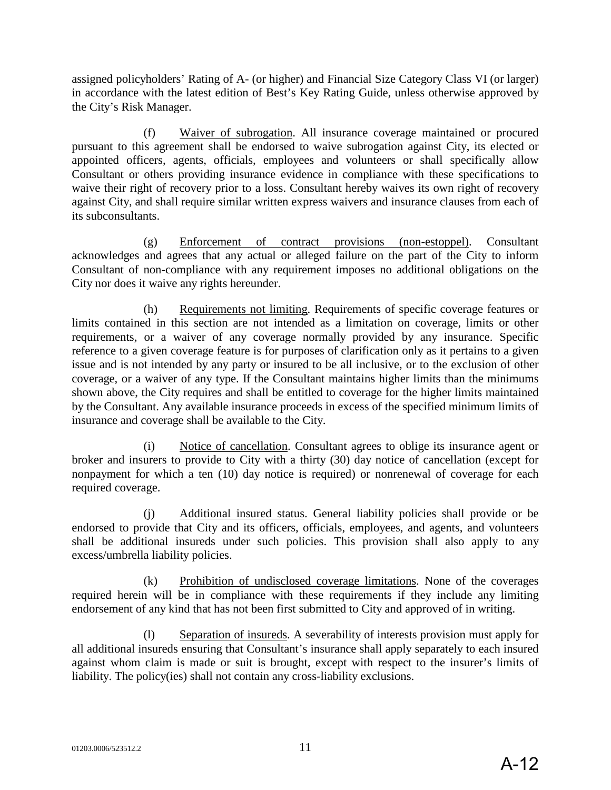assigned policyholders' Rating of A- (or higher) and Financial Size Category Class VI (or larger) in accordance with the latest edition of Best's Key Rating Guide, unless otherwise approved by the City's Risk Manager.

(f) Waiver of subrogation. All insurance coverage maintained or procured pursuant to this agreement shall be endorsed to waive subrogation against City, its elected or appointed officers, agents, officials, employees and volunteers or shall specifically allow Consultant or others providing insurance evidence in compliance with these specifications to waive their right of recovery prior to a loss. Consultant hereby waives its own right of recovery against City, and shall require similar written express waivers and insurance clauses from each of its subconsultants.

(g) Enforcement of contract provisions (non-estoppel). Consultant acknowledges and agrees that any actual or alleged failure on the part of the City to inform Consultant of non-compliance with any requirement imposes no additional obligations on the City nor does it waive any rights hereunder.

(h) Requirements not limiting. Requirements of specific coverage features or limits contained in this section are not intended as a limitation on coverage, limits or other requirements, or a waiver of any coverage normally provided by any insurance. Specific reference to a given coverage feature is for purposes of clarification only as it pertains to a given issue and is not intended by any party or insured to be all inclusive, or to the exclusion of other coverage, or a waiver of any type. If the Consultant maintains higher limits than the minimums shown above, the City requires and shall be entitled to coverage for the higher limits maintained by the Consultant. Any available insurance proceeds in excess of the specified minimum limits of insurance and coverage shall be available to the City.

(i) Notice of cancellation. Consultant agrees to oblige its insurance agent or broker and insurers to provide to City with a thirty (30) day notice of cancellation (except for nonpayment for which a ten (10) day notice is required) or nonrenewal of coverage for each required coverage.

(j) Additional insured status. General liability policies shall provide or be endorsed to provide that City and its officers, officials, employees, and agents, and volunteers shall be additional insureds under such policies. This provision shall also apply to any excess/umbrella liability policies.

(k) Prohibition of undisclosed coverage limitations. None of the coverages required herein will be in compliance with these requirements if they include any limiting endorsement of any kind that has not been first submitted to City and approved of in writing.

(l) Separation of insureds. A severability of interests provision must apply for all additional insureds ensuring that Consultant's insurance shall apply separately to each insured against whom claim is made or suit is brought, except with respect to the insurer's limits of liability. The policy(ies) shall not contain any cross-liability exclusions.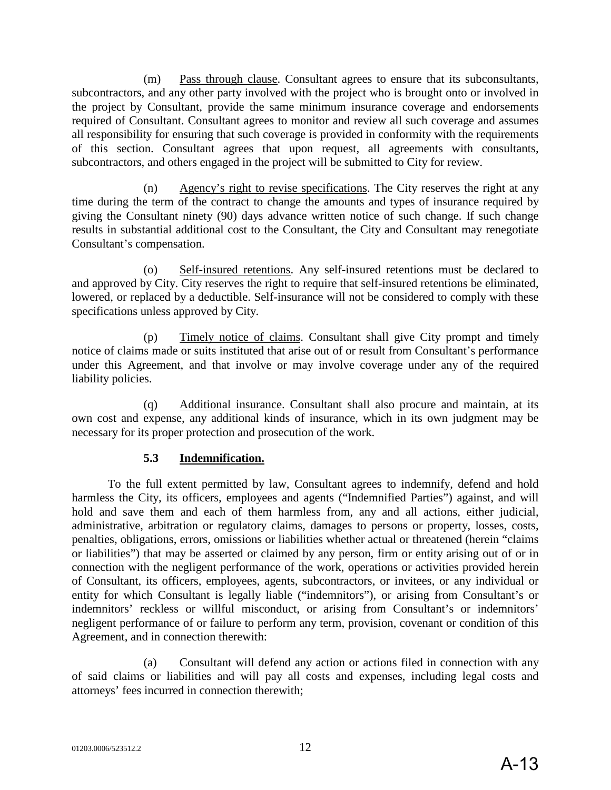(m) Pass through clause. Consultant agrees to ensure that its subconsultants, subcontractors, and any other party involved with the project who is brought onto or involved in the project by Consultant, provide the same minimum insurance coverage and endorsements required of Consultant. Consultant agrees to monitor and review all such coverage and assumes all responsibility for ensuring that such coverage is provided in conformity with the requirements of this section. Consultant agrees that upon request, all agreements with consultants, subcontractors, and others engaged in the project will be submitted to City for review.

(n) Agency's right to revise specifications. The City reserves the right at any time during the term of the contract to change the amounts and types of insurance required by giving the Consultant ninety (90) days advance written notice of such change. If such change results in substantial additional cost to the Consultant, the City and Consultant may renegotiate Consultant's compensation.

(o) Self-insured retentions. Any self-insured retentions must be declared to and approved by City. City reserves the right to require that self-insured retentions be eliminated, lowered, or replaced by a deductible. Self-insurance will not be considered to comply with these specifications unless approved by City.

(p) Timely notice of claims. Consultant shall give City prompt and timely notice of claims made or suits instituted that arise out of or result from Consultant's performance under this Agreement, and that involve or may involve coverage under any of the required liability policies.

(q) Additional insurance. Consultant shall also procure and maintain, at its own cost and expense, any additional kinds of insurance, which in its own judgment may be necessary for its proper protection and prosecution of the work.

## **5.3 Indemnification.**

To the full extent permitted by law, Consultant agrees to indemnify, defend and hold harmless the City, its officers, employees and agents ("Indemnified Parties") against, and will hold and save them and each of them harmless from, any and all actions, either judicial, administrative, arbitration or regulatory claims, damages to persons or property, losses, costs, penalties, obligations, errors, omissions or liabilities whether actual or threatened (herein "claims or liabilities") that may be asserted or claimed by any person, firm or entity arising out of or in connection with the negligent performance of the work, operations or activities provided herein of Consultant, its officers, employees, agents, subcontractors, or invitees, or any individual or entity for which Consultant is legally liable ("indemnitors"), or arising from Consultant's or indemnitors' reckless or willful misconduct, or arising from Consultant's or indemnitors' negligent performance of or failure to perform any term, provision, covenant or condition of this Agreement, and in connection therewith:

(a) Consultant will defend any action or actions filed in connection with any of said claims or liabilities and will pay all costs and expenses, including legal costs and attorneys' fees incurred in connection therewith;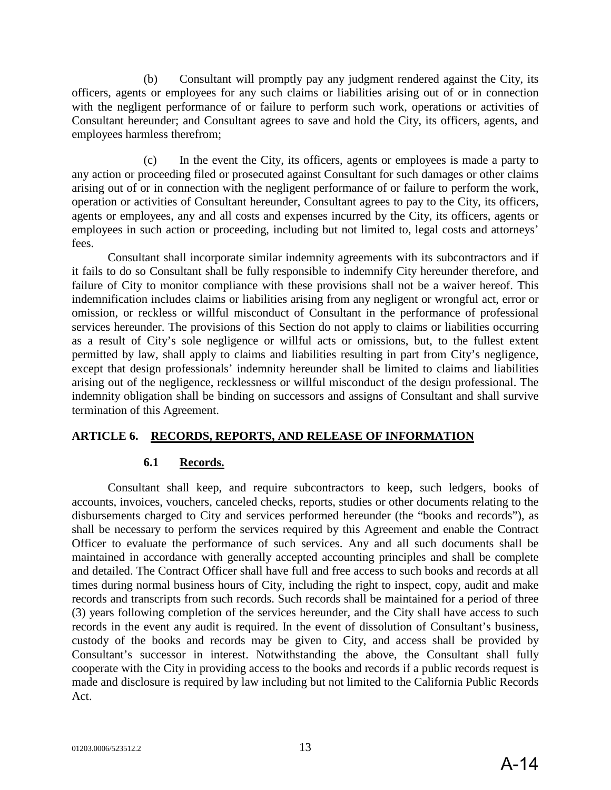(b) Consultant will promptly pay any judgment rendered against the City, its officers, agents or employees for any such claims or liabilities arising out of or in connection with the negligent performance of or failure to perform such work, operations or activities of Consultant hereunder; and Consultant agrees to save and hold the City, its officers, agents, and employees harmless therefrom;

(c) In the event the City, its officers, agents or employees is made a party to any action or proceeding filed or prosecuted against Consultant for such damages or other claims arising out of or in connection with the negligent performance of or failure to perform the work, operation or activities of Consultant hereunder, Consultant agrees to pay to the City, its officers, agents or employees, any and all costs and expenses incurred by the City, its officers, agents or employees in such action or proceeding, including but not limited to, legal costs and attorneys' fees.

Consultant shall incorporate similar indemnity agreements with its subcontractors and if it fails to do so Consultant shall be fully responsible to indemnify City hereunder therefore, and failure of City to monitor compliance with these provisions shall not be a waiver hereof. This indemnification includes claims or liabilities arising from any negligent or wrongful act, error or omission, or reckless or willful misconduct of Consultant in the performance of professional services hereunder. The provisions of this Section do not apply to claims or liabilities occurring as a result of City's sole negligence or willful acts or omissions, but, to the fullest extent permitted by law, shall apply to claims and liabilities resulting in part from City's negligence, except that design professionals' indemnity hereunder shall be limited to claims and liabilities arising out of the negligence, recklessness or willful misconduct of the design professional. The indemnity obligation shall be binding on successors and assigns of Consultant and shall survive termination of this Agreement.

## **ARTICLE 6. RECORDS, REPORTS, AND RELEASE OF INFORMATION**

#### **6.1 Records.**

Consultant shall keep, and require subcontractors to keep, such ledgers, books of accounts, invoices, vouchers, canceled checks, reports, studies or other documents relating to the disbursements charged to City and services performed hereunder (the "books and records"), as shall be necessary to perform the services required by this Agreement and enable the Contract Officer to evaluate the performance of such services. Any and all such documents shall be maintained in accordance with generally accepted accounting principles and shall be complete and detailed. The Contract Officer shall have full and free access to such books and records at all times during normal business hours of City, including the right to inspect, copy, audit and make records and transcripts from such records. Such records shall be maintained for a period of three (3) years following completion of the services hereunder, and the City shall have access to such records in the event any audit is required. In the event of dissolution of Consultant's business, custody of the books and records may be given to City, and access shall be provided by Consultant's successor in interest. Notwithstanding the above, the Consultant shall fully cooperate with the City in providing access to the books and records if a public records request is made and disclosure is required by law including but not limited to the California Public Records Act.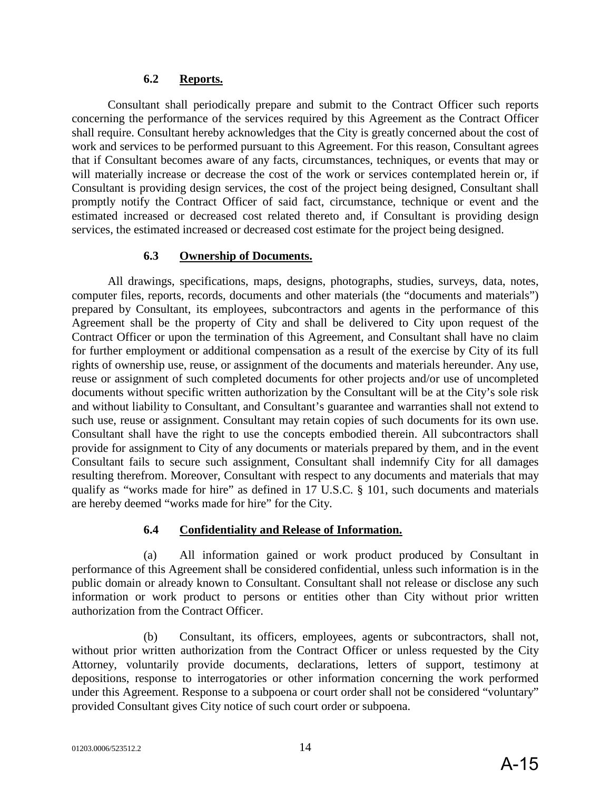#### **6.2 Reports.**

Consultant shall periodically prepare and submit to the Contract Officer such reports concerning the performance of the services required by this Agreement as the Contract Officer shall require. Consultant hereby acknowledges that the City is greatly concerned about the cost of work and services to be performed pursuant to this Agreement. For this reason, Consultant agrees that if Consultant becomes aware of any facts, circumstances, techniques, or events that may or will materially increase or decrease the cost of the work or services contemplated herein or, if Consultant is providing design services, the cost of the project being designed, Consultant shall promptly notify the Contract Officer of said fact, circumstance, technique or event and the estimated increased or decreased cost related thereto and, if Consultant is providing design services, the estimated increased or decreased cost estimate for the project being designed.

#### **6.3 Ownership of Documents.**

All drawings, specifications, maps, designs, photographs, studies, surveys, data, notes, computer files, reports, records, documents and other materials (the "documents and materials") prepared by Consultant, its employees, subcontractors and agents in the performance of this Agreement shall be the property of City and shall be delivered to City upon request of the Contract Officer or upon the termination of this Agreement, and Consultant shall have no claim for further employment or additional compensation as a result of the exercise by City of its full rights of ownership use, reuse, or assignment of the documents and materials hereunder. Any use, reuse or assignment of such completed documents for other projects and/or use of uncompleted documents without specific written authorization by the Consultant will be at the City's sole risk and without liability to Consultant, and Consultant's guarantee and warranties shall not extend to such use, reuse or assignment. Consultant may retain copies of such documents for its own use. Consultant shall have the right to use the concepts embodied therein. All subcontractors shall provide for assignment to City of any documents or materials prepared by them, and in the event Consultant fails to secure such assignment, Consultant shall indemnify City for all damages resulting therefrom. Moreover, Consultant with respect to any documents and materials that may qualify as "works made for hire" as defined in 17 U.S.C. § 101, such documents and materials are hereby deemed "works made for hire" for the City.

## **6.4 Confidentiality and Release of Information.**

(a) All information gained or work product produced by Consultant in performance of this Agreement shall be considered confidential, unless such information is in the public domain or already known to Consultant. Consultant shall not release or disclose any such information or work product to persons or entities other than City without prior written authorization from the Contract Officer.

(b) Consultant, its officers, employees, agents or subcontractors, shall not, without prior written authorization from the Contract Officer or unless requested by the City Attorney, voluntarily provide documents, declarations, letters of support, testimony at depositions, response to interrogatories or other information concerning the work performed under this Agreement. Response to a subpoena or court order shall not be considered "voluntary" provided Consultant gives City notice of such court order or subpoena.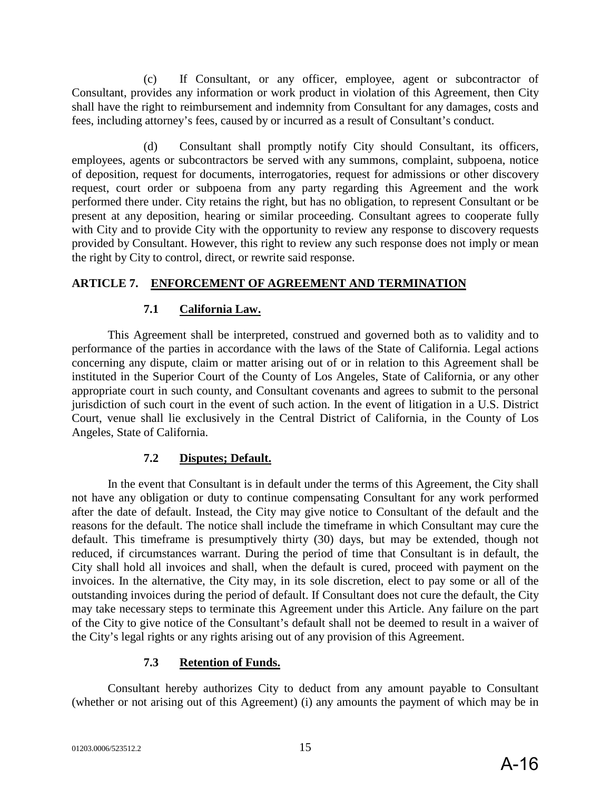(c) If Consultant, or any officer, employee, agent or subcontractor of Consultant, provides any information or work product in violation of this Agreement, then City shall have the right to reimbursement and indemnity from Consultant for any damages, costs and fees, including attorney's fees, caused by or incurred as a result of Consultant's conduct.

(d) Consultant shall promptly notify City should Consultant, its officers, employees, agents or subcontractors be served with any summons, complaint, subpoena, notice of deposition, request for documents, interrogatories, request for admissions or other discovery request, court order or subpoena from any party regarding this Agreement and the work performed there under. City retains the right, but has no obligation, to represent Consultant or be present at any deposition, hearing or similar proceeding. Consultant agrees to cooperate fully with City and to provide City with the opportunity to review any response to discovery requests provided by Consultant. However, this right to review any such response does not imply or mean the right by City to control, direct, or rewrite said response.

## **ARTICLE 7. ENFORCEMENT OF AGREEMENT AND TERMINATION**

## **7.1 California Law.**

This Agreement shall be interpreted, construed and governed both as to validity and to performance of the parties in accordance with the laws of the State of California. Legal actions concerning any dispute, claim or matter arising out of or in relation to this Agreement shall be instituted in the Superior Court of the County of Los Angeles, State of California, or any other appropriate court in such county, and Consultant covenants and agrees to submit to the personal jurisdiction of such court in the event of such action. In the event of litigation in a U.S. District Court, venue shall lie exclusively in the Central District of California, in the County of Los Angeles, State of California.

## **7.2 Disputes; Default.**

In the event that Consultant is in default under the terms of this Agreement, the City shall not have any obligation or duty to continue compensating Consultant for any work performed after the date of default. Instead, the City may give notice to Consultant of the default and the reasons for the default. The notice shall include the timeframe in which Consultant may cure the default. This timeframe is presumptively thirty (30) days, but may be extended, though not reduced, if circumstances warrant. During the period of time that Consultant is in default, the City shall hold all invoices and shall, when the default is cured, proceed with payment on the invoices. In the alternative, the City may, in its sole discretion, elect to pay some or all of the outstanding invoices during the period of default. If Consultant does not cure the default, the City may take necessary steps to terminate this Agreement under this Article. Any failure on the part of the City to give notice of the Consultant's default shall not be deemed to result in a waiver of the City's legal rights or any rights arising out of any provision of this Agreement.

## **7.3 Retention of Funds.**

Consultant hereby authorizes City to deduct from any amount payable to Consultant (whether or not arising out of this Agreement) (i) any amounts the payment of which may be in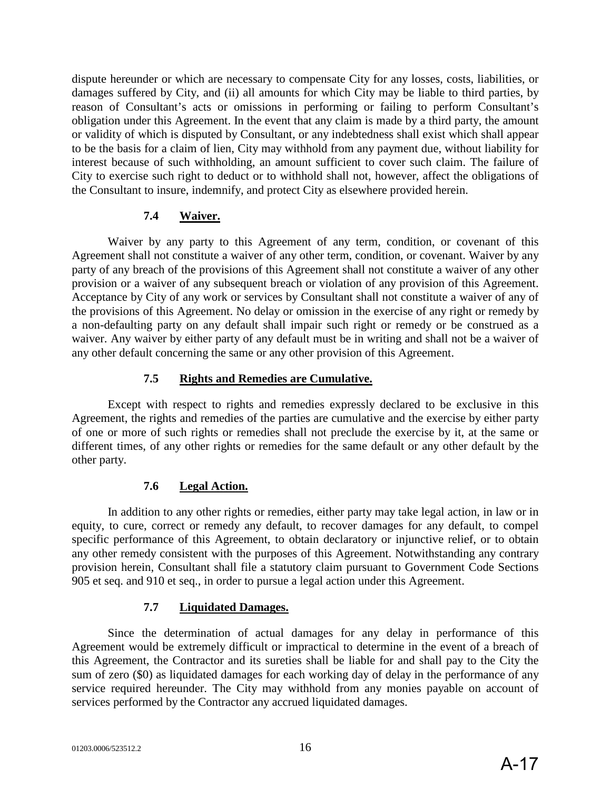dispute hereunder or which are necessary to compensate City for any losses, costs, liabilities, or damages suffered by City, and (ii) all amounts for which City may be liable to third parties, by reason of Consultant's acts or omissions in performing or failing to perform Consultant's obligation under this Agreement. In the event that any claim is made by a third party, the amount or validity of which is disputed by Consultant, or any indebtedness shall exist which shall appear to be the basis for a claim of lien, City may withhold from any payment due, without liability for interest because of such withholding, an amount sufficient to cover such claim. The failure of City to exercise such right to deduct or to withhold shall not, however, affect the obligations of the Consultant to insure, indemnify, and protect City as elsewhere provided herein.

## **7.4 Waiver.**

Waiver by any party to this Agreement of any term, condition, or covenant of this Agreement shall not constitute a waiver of any other term, condition, or covenant. Waiver by any party of any breach of the provisions of this Agreement shall not constitute a waiver of any other provision or a waiver of any subsequent breach or violation of any provision of this Agreement. Acceptance by City of any work or services by Consultant shall not constitute a waiver of any of the provisions of this Agreement. No delay or omission in the exercise of any right or remedy by a non-defaulting party on any default shall impair such right or remedy or be construed as a waiver. Any waiver by either party of any default must be in writing and shall not be a waiver of any other default concerning the same or any other provision of this Agreement.

## **7.5 Rights and Remedies are Cumulative.**

Except with respect to rights and remedies expressly declared to be exclusive in this Agreement, the rights and remedies of the parties are cumulative and the exercise by either party of one or more of such rights or remedies shall not preclude the exercise by it, at the same or different times, of any other rights or remedies for the same default or any other default by the other party.

## **7.6 Legal Action.**

In addition to any other rights or remedies, either party may take legal action, in law or in equity, to cure, correct or remedy any default, to recover damages for any default, to compel specific performance of this Agreement, to obtain declaratory or injunctive relief, or to obtain any other remedy consistent with the purposes of this Agreement. Notwithstanding any contrary provision herein, Consultant shall file a statutory claim pursuant to Government Code Sections 905 et seq. and 910 et seq., in order to pursue a legal action under this Agreement.

## **7.7 Liquidated Damages.**

Since the determination of actual damages for any delay in performance of this Agreement would be extremely difficult or impractical to determine in the event of a breach of this Agreement, the Contractor and its sureties shall be liable for and shall pay to the City the sum of zero (\$0) as liquidated damages for each working day of delay in the performance of any service required hereunder. The City may withhold from any monies payable on account of services performed by the Contractor any accrued liquidated damages.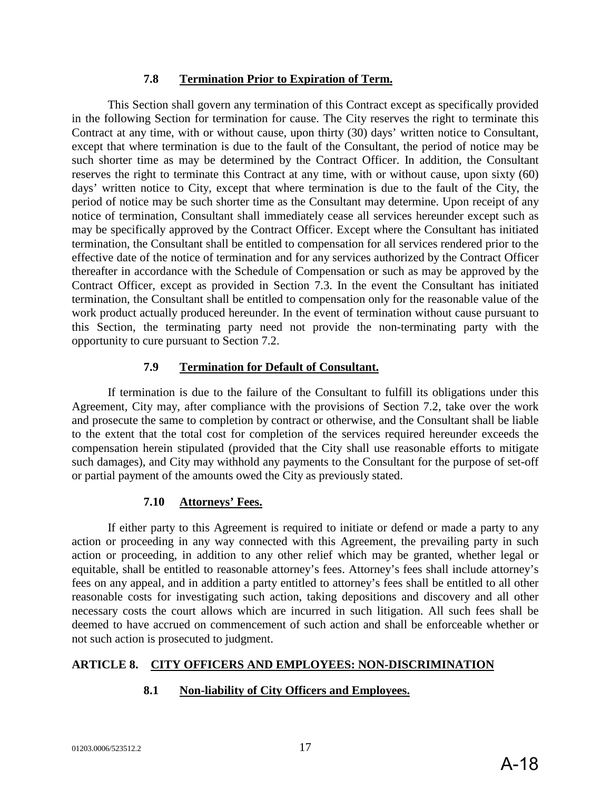#### **7.8 Termination Prior to Expiration of Term.**

This Section shall govern any termination of this Contract except as specifically provided in the following Section for termination for cause. The City reserves the right to terminate this Contract at any time, with or without cause, upon thirty (30) days' written notice to Consultant, except that where termination is due to the fault of the Consultant, the period of notice may be such shorter time as may be determined by the Contract Officer. In addition, the Consultant reserves the right to terminate this Contract at any time, with or without cause, upon sixty (60) days' written notice to City, except that where termination is due to the fault of the City, the period of notice may be such shorter time as the Consultant may determine. Upon receipt of any notice of termination, Consultant shall immediately cease all services hereunder except such as may be specifically approved by the Contract Officer. Except where the Consultant has initiated termination, the Consultant shall be entitled to compensation for all services rendered prior to the effective date of the notice of termination and for any services authorized by the Contract Officer thereafter in accordance with the Schedule of Compensation or such as may be approved by the Contract Officer, except as provided in Section 7.3. In the event the Consultant has initiated termination, the Consultant shall be entitled to compensation only for the reasonable value of the work product actually produced hereunder. In the event of termination without cause pursuant to this Section, the terminating party need not provide the non-terminating party with the opportunity to cure pursuant to Section 7.2.

## **7.9 Termination for Default of Consultant.**

If termination is due to the failure of the Consultant to fulfill its obligations under this Agreement, City may, after compliance with the provisions of Section 7.2, take over the work and prosecute the same to completion by contract or otherwise, and the Consultant shall be liable to the extent that the total cost for completion of the services required hereunder exceeds the compensation herein stipulated (provided that the City shall use reasonable efforts to mitigate such damages), and City may withhold any payments to the Consultant for the purpose of set-off or partial payment of the amounts owed the City as previously stated.

## **7.10 Attorneys' Fees.**

If either party to this Agreement is required to initiate or defend or made a party to any action or proceeding in any way connected with this Agreement, the prevailing party in such action or proceeding, in addition to any other relief which may be granted, whether legal or equitable, shall be entitled to reasonable attorney's fees. Attorney's fees shall include attorney's fees on any appeal, and in addition a party entitled to attorney's fees shall be entitled to all other reasonable costs for investigating such action, taking depositions and discovery and all other necessary costs the court allows which are incurred in such litigation. All such fees shall be deemed to have accrued on commencement of such action and shall be enforceable whether or not such action is prosecuted to judgment.

## **ARTICLE 8. CITY OFFICERS AND EMPLOYEES: NON-DISCRIMINATION**

## **8.1 Non-liability of City Officers and Employees.**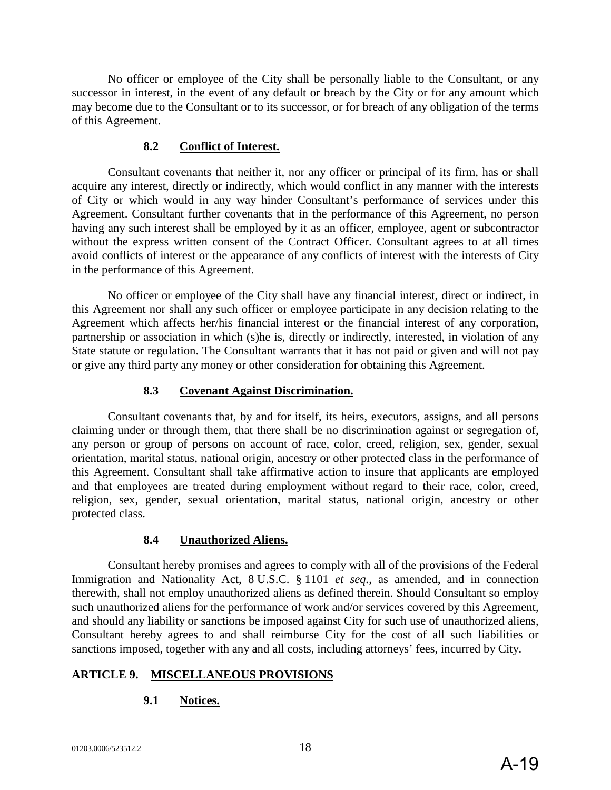No officer or employee of the City shall be personally liable to the Consultant, or any successor in interest, in the event of any default or breach by the City or for any amount which may become due to the Consultant or to its successor, or for breach of any obligation of the terms of this Agreement.

#### **8.2 Conflict of Interest.**

Consultant covenants that neither it, nor any officer or principal of its firm, has or shall acquire any interest, directly or indirectly, which would conflict in any manner with the interests of City or which would in any way hinder Consultant's performance of services under this Agreement. Consultant further covenants that in the performance of this Agreement, no person having any such interest shall be employed by it as an officer, employee, agent or subcontractor without the express written consent of the Contract Officer. Consultant agrees to at all times avoid conflicts of interest or the appearance of any conflicts of interest with the interests of City in the performance of this Agreement.

No officer or employee of the City shall have any financial interest, direct or indirect, in this Agreement nor shall any such officer or employee participate in any decision relating to the Agreement which affects her/his financial interest or the financial interest of any corporation, partnership or association in which (s)he is, directly or indirectly, interested, in violation of any State statute or regulation. The Consultant warrants that it has not paid or given and will not pay or give any third party any money or other consideration for obtaining this Agreement.

#### **8.3 Covenant Against Discrimination.**

Consultant covenants that, by and for itself, its heirs, executors, assigns, and all persons claiming under or through them, that there shall be no discrimination against or segregation of, any person or group of persons on account of race, color, creed, religion, sex, gender, sexual orientation, marital status, national origin, ancestry or other protected class in the performance of this Agreement. Consultant shall take affirmative action to insure that applicants are employed and that employees are treated during employment without regard to their race, color, creed, religion, sex, gender, sexual orientation, marital status, national origin, ancestry or other protected class.

## **8.4 Unauthorized Aliens.**

Consultant hereby promises and agrees to comply with all of the provisions of the Federal Immigration and Nationality Act, 8 U.S.C. § 1101 *et seq.*, as amended, and in connection therewith, shall not employ unauthorized aliens as defined therein. Should Consultant so employ such unauthorized aliens for the performance of work and/or services covered by this Agreement, and should any liability or sanctions be imposed against City for such use of unauthorized aliens, Consultant hereby agrees to and shall reimburse City for the cost of all such liabilities or sanctions imposed, together with any and all costs, including attorneys' fees, incurred by City.

## **ARTICLE 9. MISCELLANEOUS PROVISIONS**

## **9.1 Notices.**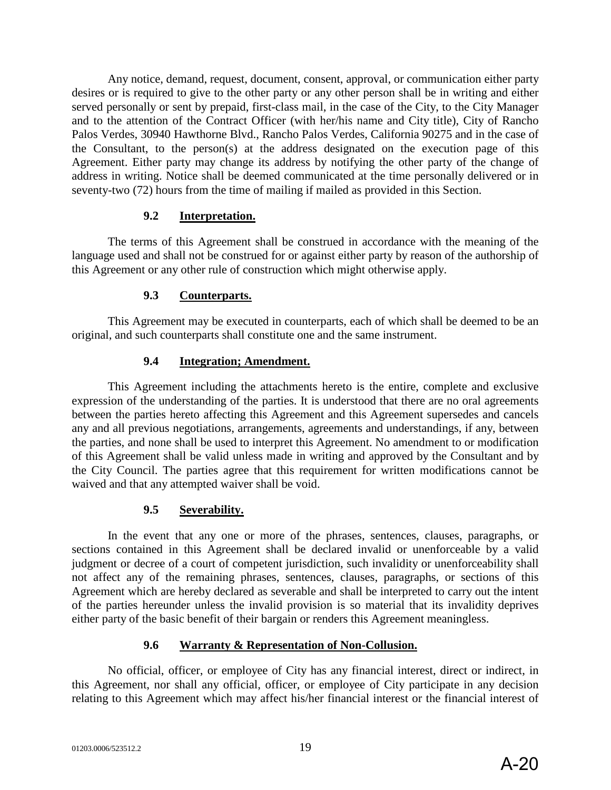Any notice, demand, request, document, consent, approval, or communication either party desires or is required to give to the other party or any other person shall be in writing and either served personally or sent by prepaid, first-class mail, in the case of the City, to the City Manager and to the attention of the Contract Officer (with her/his name and City title), City of Rancho Palos Verdes, 30940 Hawthorne Blvd., Rancho Palos Verdes, California 90275 and in the case of the Consultant, to the person(s) at the address designated on the execution page of this Agreement. Either party may change its address by notifying the other party of the change of address in writing. Notice shall be deemed communicated at the time personally delivered or in seventy-two (72) hours from the time of mailing if mailed as provided in this Section.

#### **9.2 Interpretation.**

The terms of this Agreement shall be construed in accordance with the meaning of the language used and shall not be construed for or against either party by reason of the authorship of this Agreement or any other rule of construction which might otherwise apply.

## **9.3 Counterparts.**

This Agreement may be executed in counterparts, each of which shall be deemed to be an original, and such counterparts shall constitute one and the same instrument.

#### **9.4 Integration; Amendment.**

This Agreement including the attachments hereto is the entire, complete and exclusive expression of the understanding of the parties. It is understood that there are no oral agreements between the parties hereto affecting this Agreement and this Agreement supersedes and cancels any and all previous negotiations, arrangements, agreements and understandings, if any, between the parties, and none shall be used to interpret this Agreement. No amendment to or modification of this Agreement shall be valid unless made in writing and approved by the Consultant and by the City Council. The parties agree that this requirement for written modifications cannot be waived and that any attempted waiver shall be void.

#### **9.5 Severability.**

In the event that any one or more of the phrases, sentences, clauses, paragraphs, or sections contained in this Agreement shall be declared invalid or unenforceable by a valid judgment or decree of a court of competent jurisdiction, such invalidity or unenforceability shall not affect any of the remaining phrases, sentences, clauses, paragraphs, or sections of this Agreement which are hereby declared as severable and shall be interpreted to carry out the intent of the parties hereunder unless the invalid provision is so material that its invalidity deprives either party of the basic benefit of their bargain or renders this Agreement meaningless.

## **9.6 Warranty & Representation of Non-Collusion.**

No official, officer, or employee of City has any financial interest, direct or indirect, in this Agreement, nor shall any official, officer, or employee of City participate in any decision relating to this Agreement which may affect his/her financial interest or the financial interest of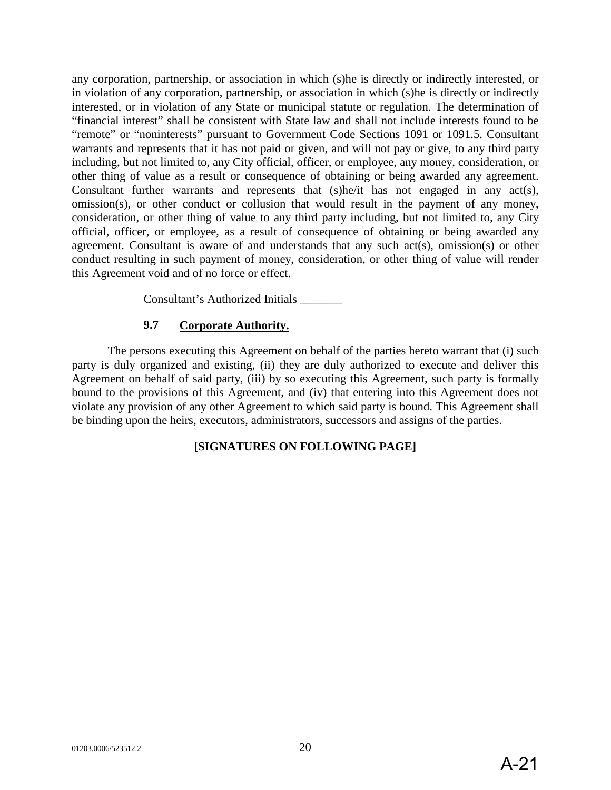any corporation, partnership, or association in which (s)he is directly or indirectly interested, or in violation of any corporation, partnership, or association in which (s)he is directly or indirectly interested, or in violation of any State or municipal statute or regulation. The determination of "financial interest" shall be consistent with State law and shall not include interests found to be "remote" or "noninterests" pursuant to Government Code Sections 1091 or 1091.5. Consultant warrants and represents that it has not paid or given, and will not pay or give, to any third party including, but not limited to, any City official, officer, or employee, any money, consideration, or other thing of value as a result or consequence of obtaining or being awarded any agreement. Consultant further warrants and represents that (s)he/it has not engaged in any act(s), omission(s), or other conduct or collusion that would result in the payment of any money, consideration, or other thing of value to any third party including, but not limited to, any City official, officer, or employee, as a result of consequence of obtaining or being awarded any agreement. Consultant is aware of and understands that any such act(s), omission(s) or other conduct resulting in such payment of money, consideration, or other thing of value will render this Agreement void and of no force or effect.

Consultant's Authorized Initials \_\_\_\_\_\_\_

## **9.7 Corporate Authority.**

The persons executing this Agreement on behalf of the parties hereto warrant that (i) such party is duly organized and existing, (ii) they are duly authorized to execute and deliver this Agreement on behalf of said party, (iii) by so executing this Agreement, such party is formally bound to the provisions of this Agreement, and (iv) that entering into this Agreement does not violate any provision of any other Agreement to which said party is bound. This Agreement shall be binding upon the heirs, executors, administrators, successors and assigns of the parties.

## **[SIGNATURES ON FOLLOWING PAGE]**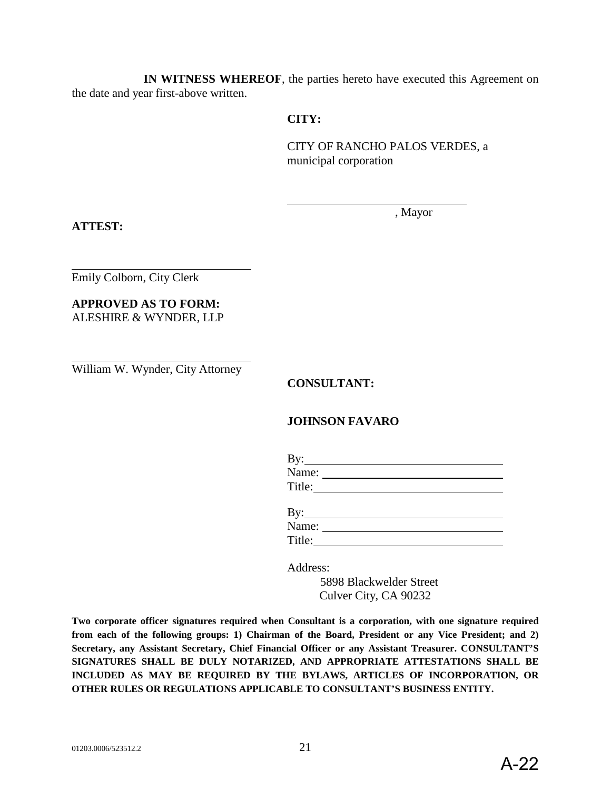**IN WITNESS WHEREOF**, the parties hereto have executed this Agreement on the date and year first-above written.

#### **CITY:**

CITY OF RANCHO PALOS VERDES, a municipal corporation

, Mayor

**ATTEST:**

Emily Colborn, City Clerk

**APPROVED AS TO FORM:** ALESHIRE & WYNDER, LLP

William W. Wynder, City Attorney

**CONSULTANT:** 

## **JOHNSON FAVARO**

| By: $\qquad \qquad$ |  |  |  |
|---------------------|--|--|--|
| Name:               |  |  |  |
| Title:              |  |  |  |
|                     |  |  |  |
| By: $\_$            |  |  |  |
| Name:               |  |  |  |

Title:

Address:

 5898 Blackwelder Street Culver City, CA 90232

**Two corporate officer signatures required when Consultant is a corporation, with one signature required from each of the following groups: 1) Chairman of the Board, President or any Vice President; and 2) Secretary, any Assistant Secretary, Chief Financial Officer or any Assistant Treasurer. CONSULTANT'S SIGNATURES SHALL BE DULY NOTARIZED, AND APPROPRIATE ATTESTATIONS SHALL BE INCLUDED AS MAY BE REQUIRED BY THE BYLAWS, ARTICLES OF INCORPORATION, OR OTHER RULES OR REGULATIONS APPLICABLE TO CONSULTANT'S BUSINESS ENTITY.**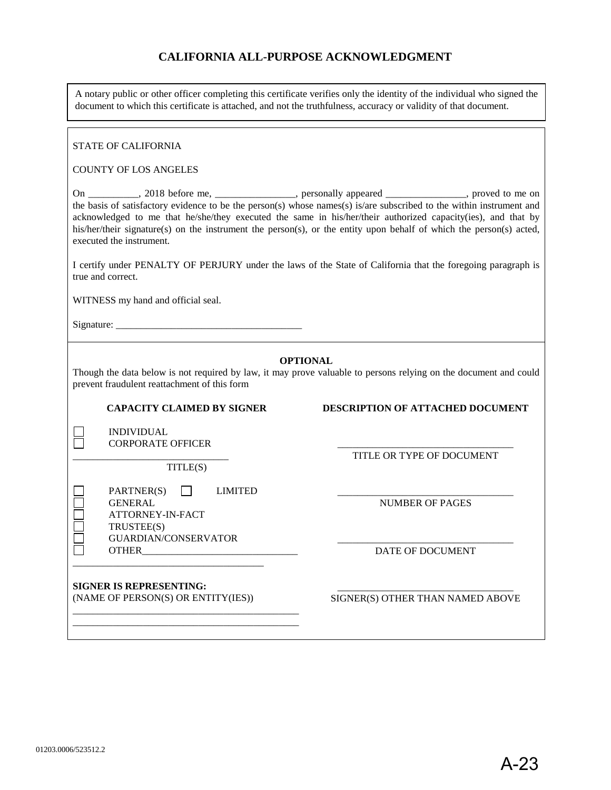## **CALIFORNIA ALL-PURPOSE ACKNOWLEDGMENT**

A notary public or other officer completing this certificate verifies only the identity of the individual who signed the document to which this certificate is attached, and not the truthfulness, accuracy or validity of that document.

#### STATE OF CALIFORNIA

#### COUNTY OF LOS ANGELES

On \_\_\_\_\_\_\_\_\_\_, 2018 before me, \_\_\_\_\_\_\_\_\_\_\_\_\_\_\_, personally appeared \_\_\_\_\_\_\_\_\_\_\_\_\_\_, proved to me on the basis of satisfactory evidence to be the person(s) whose names(s) is/are subscribed to the within instrument and acknowledged to me that he/she/they executed the same in his/her/their authorized capacity(ies), and that by his/her/their signature(s) on the instrument the person(s), or the entity upon behalf of which the person(s) acted, executed the instrument.

I certify under PENALTY OF PERJURY under the laws of the State of California that the foregoing paragraph is true and correct.

WITNESS my hand and official seal.

Signature: \_\_\_\_\_\_\_\_\_\_\_\_\_\_\_\_\_\_\_\_\_\_\_\_\_\_\_\_\_\_\_\_\_\_\_\_\_

n

#### **OPTIONAL**

Though the data below is not required by law, it may prove valuable to persons relying on the document and could prevent fraudulent reattachment of this form

**CAPACITY CLAIMED BY SIGNER DESCRIPTION OF ATTACHED DOCUMENT**

INDIVIDUAL CORPORATE OFFICER

\_\_\_\_\_\_\_\_\_\_\_\_\_\_\_\_\_\_\_\_\_\_\_\_\_\_\_\_\_\_\_ TITLE(S)

PARTNER(S) LIMITED GENERAL ATTORNEY-IN-FACT TRUSTEE(S) GUARDIAN/CONSERVATOR OTHER\_\_\_\_\_\_\_\_\_\_\_\_\_\_\_\_\_\_\_\_\_\_\_\_\_\_\_\_\_\_\_

\_\_\_\_\_\_\_\_\_\_\_\_\_\_\_\_\_\_\_\_\_\_\_\_\_\_\_\_\_\_\_\_\_\_\_ TITLE OR TYPE OF DOCUMENT

\_\_\_\_\_\_\_\_\_\_\_\_\_\_\_\_\_\_\_\_\_\_\_\_\_\_\_\_\_\_\_\_\_\_\_ NUMBER OF PAGES

\_\_\_\_\_\_\_\_\_\_\_\_\_\_\_\_\_\_\_\_\_\_\_\_\_\_\_\_\_\_\_\_\_\_\_ DATE OF DOCUMENT

**SIGNER IS REPRESENTING:** (NAME OF PERSON(S) OR ENTITY(IES))

\_\_\_\_\_\_\_\_\_\_\_\_\_\_\_\_\_\_\_\_\_\_\_\_\_\_\_\_\_\_\_\_\_\_\_\_\_\_\_\_\_\_\_\_\_ \_\_\_\_\_\_\_\_\_\_\_\_\_\_\_\_\_\_\_\_\_\_\_\_\_\_\_\_\_\_\_\_\_\_\_\_\_\_\_\_\_\_\_\_\_

\_\_\_\_\_\_\_\_\_\_\_\_\_\_\_\_\_\_\_\_\_\_\_\_\_\_\_\_\_\_\_\_\_\_\_\_\_\_

\_\_\_\_\_\_\_\_\_\_\_\_\_\_\_\_\_\_\_\_\_\_\_\_\_\_\_\_\_\_\_\_\_\_\_ SIGNER(S) OTHER THAN NAMED ABOVE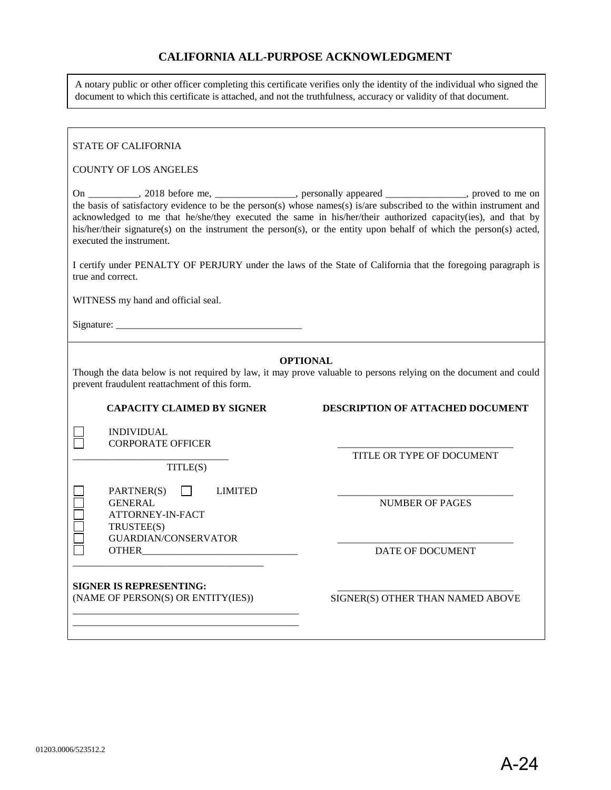#### **CALIFORNIA ALL-PURPOSE ACKNOWLEDGMENT**

A notary public or other officer completing this certificate verifies only the identity of the individual who signed the document to which this certificate is attached, and not the truthfulness, accuracy or validity of that document.

#### STATE OF CALIFORNIA COUNTY OF LOS ANGELES On \_\_\_\_\_\_\_\_\_\_, 2018 before me, \_\_\_\_\_\_\_\_\_\_\_\_\_\_\_, personally appeared \_\_\_\_\_\_\_\_\_\_\_\_\_\_, proved to me on the basis of satisfactory evidence to be the person(s) whose names(s) is/are subscribed to the within instrument and acknowledged to me that he/she/they executed the same in his/her/their authorized capacity(ies), and that by his/her/their signature(s) on the instrument the person(s), or the entity upon behalf of which the person(s) acted, executed the instrument. I certify under PENALTY OF PERJURY under the laws of the State of California that the foregoing paragraph is true and correct. WITNESS my hand and official seal. Signature: \_\_\_\_\_\_\_\_\_\_\_\_\_\_\_\_\_\_\_\_\_\_\_\_\_\_\_\_\_\_\_\_\_\_\_\_\_ **OPTIONAL** Though the data below is not required by law, it may prove valuable to persons relying on the document and could prevent fraudulent reattachment of this form. **CAPACITY CLAIMED BY SIGNER DESCRIPTION OF ATTACHED DOCUMENT** INDIVIDUAL n CORPORATE OFFICER \_\_\_\_\_\_\_\_\_\_\_\_\_\_\_\_\_\_\_\_\_\_\_\_\_\_\_\_\_\_\_\_\_\_\_ TITLE OR TYPE OF DOCUMENT \_\_\_\_\_\_\_\_\_\_\_\_\_\_\_\_\_\_\_\_\_\_\_\_\_\_\_\_\_\_\_ TITLE(S) PARTNER(S) LIMITED \_\_\_\_\_\_\_\_\_\_\_\_\_\_\_\_\_\_\_\_\_\_\_\_\_\_\_\_\_\_\_\_\_\_\_ GENERAL NUMBER OF PAGES ATTORNEY-IN-FACT TRUSTEE(S) GUARDIAN/CONSERVATOR \_\_\_\_\_\_\_\_\_\_\_\_\_\_\_\_\_\_\_\_\_\_\_\_\_\_\_\_\_\_\_\_\_\_\_ OTHER\_\_\_\_\_\_\_\_\_\_\_\_\_\_\_\_\_\_\_\_\_\_\_\_\_\_\_\_\_\_\_ DATE OF DOCUMENT \_\_\_\_\_\_\_\_\_\_\_\_\_\_\_\_\_\_\_\_\_\_\_\_\_\_\_\_\_\_\_\_\_\_\_\_\_\_ **SIGNER IS REPRESENTING:** \_\_\_\_\_\_\_\_\_\_\_\_\_\_\_\_\_\_\_\_\_\_\_\_\_\_\_\_\_\_\_\_\_\_\_ (NAME OF PERSON(S) OR ENTITY(IES)) SIGNER(S) OTHER THAN NAMED ABOVE \_\_\_\_\_\_\_\_\_\_\_\_\_\_\_\_\_\_\_\_\_\_\_\_\_\_\_\_\_\_\_\_\_\_\_\_\_\_\_\_\_\_\_\_\_ \_\_\_\_\_\_\_\_\_\_\_\_\_\_\_\_\_\_\_\_\_\_\_\_\_\_\_\_\_\_\_\_\_\_\_\_\_\_\_\_\_\_\_\_\_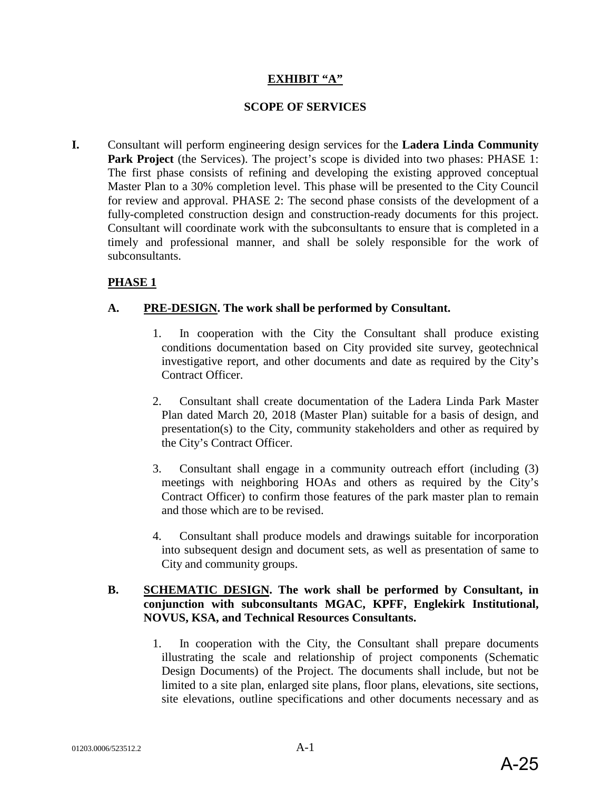#### **EXHIBIT "A"**

#### **SCOPE OF SERVICES**

**I.** Consultant will perform engineering design services for the **Ladera Linda Community**  Park Project (the Services). The project's scope is divided into two phases: PHASE 1: The first phase consists of refining and developing the existing approved conceptual Master Plan to a 30% completion level. This phase will be presented to the City Council for review and approval. PHASE 2: The second phase consists of the development of a fully-completed construction design and construction-ready documents for this project. Consultant will coordinate work with the subconsultants to ensure that is completed in a timely and professional manner, and shall be solely responsible for the work of subconsultants.

## **PHASE 1**

#### **A. PRE-DESIGN. The work shall be performed by Consultant.**

- 1. In cooperation with the City the Consultant shall produce existing conditions documentation based on City provided site survey, geotechnical investigative report, and other documents and date as required by the City's Contract Officer.
- 2. Consultant shall create documentation of the Ladera Linda Park Master Plan dated March 20, 2018 (Master Plan) suitable for a basis of design, and presentation(s) to the City, community stakeholders and other as required by the City's Contract Officer.
- 3. Consultant shall engage in a community outreach effort (including (3) meetings with neighboring HOAs and others as required by the City's Contract Officer) to confirm those features of the park master plan to remain and those which are to be revised.
- 4. Consultant shall produce models and drawings suitable for incorporation into subsequent design and document sets, as well as presentation of same to City and community groups.

#### **B. SCHEMATIC DESIGN. The work shall be performed by Consultant, in conjunction with subconsultants MGAC, KPFF, Englekirk Institutional, NOVUS, KSA, and Technical Resources Consultants.**

1. In cooperation with the City, the Consultant shall prepare documents illustrating the scale and relationship of project components (Schematic Design Documents) of the Project. The documents shall include, but not be limited to a site plan, enlarged site plans, floor plans, elevations, site sections, site elevations, outline specifications and other documents necessary and as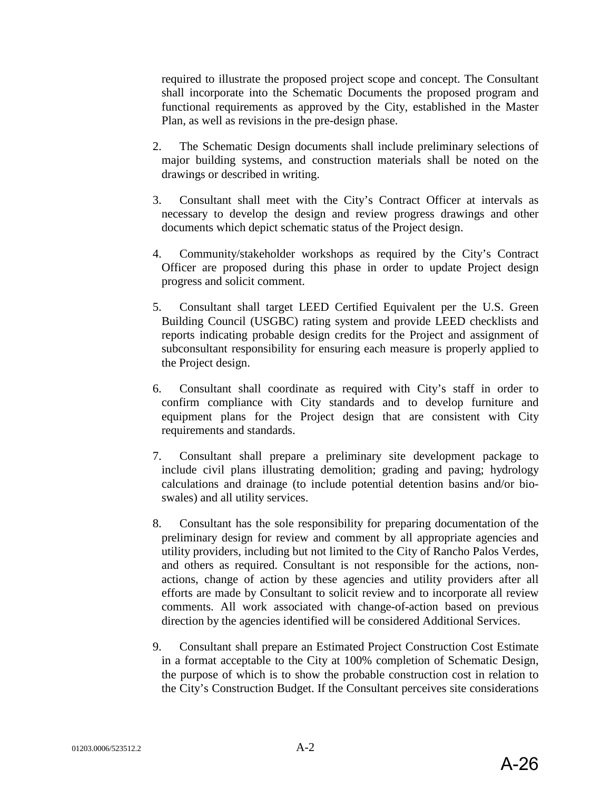required to illustrate the proposed project scope and concept. The Consultant shall incorporate into the Schematic Documents the proposed program and functional requirements as approved by the City, established in the Master Plan, as well as revisions in the pre-design phase.

- 2. The Schematic Design documents shall include preliminary selections of major building systems, and construction materials shall be noted on the drawings or described in writing.
- 3. Consultant shall meet with the City's Contract Officer at intervals as necessary to develop the design and review progress drawings and other documents which depict schematic status of the Project design.
- 4. Community/stakeholder workshops as required by the City's Contract Officer are proposed during this phase in order to update Project design progress and solicit comment.
- 5. Consultant shall target LEED Certified Equivalent per the U.S. Green Building Council (USGBC) rating system and provide LEED checklists and reports indicating probable design credits for the Project and assignment of subconsultant responsibility for ensuring each measure is properly applied to the Project design.
- 6. Consultant shall coordinate as required with City's staff in order to confirm compliance with City standards and to develop furniture and equipment plans for the Project design that are consistent with City requirements and standards.
- 7. Consultant shall prepare a preliminary site development package to include civil plans illustrating demolition; grading and paving; hydrology calculations and drainage (to include potential detention basins and/or bioswales) and all utility services.
- 8. Consultant has the sole responsibility for preparing documentation of the preliminary design for review and comment by all appropriate agencies and utility providers, including but not limited to the City of Rancho Palos Verdes, and others as required. Consultant is not responsible for the actions, nonactions, change of action by these agencies and utility providers after all efforts are made by Consultant to solicit review and to incorporate all review comments. All work associated with change-of-action based on previous direction by the agencies identified will be considered Additional Services.
- 9. Consultant shall prepare an Estimated Project Construction Cost Estimate in a format acceptable to the City at 100% completion of Schematic Design, the purpose of which is to show the probable construction cost in relation to the City's Construction Budget. If the Consultant perceives site considerations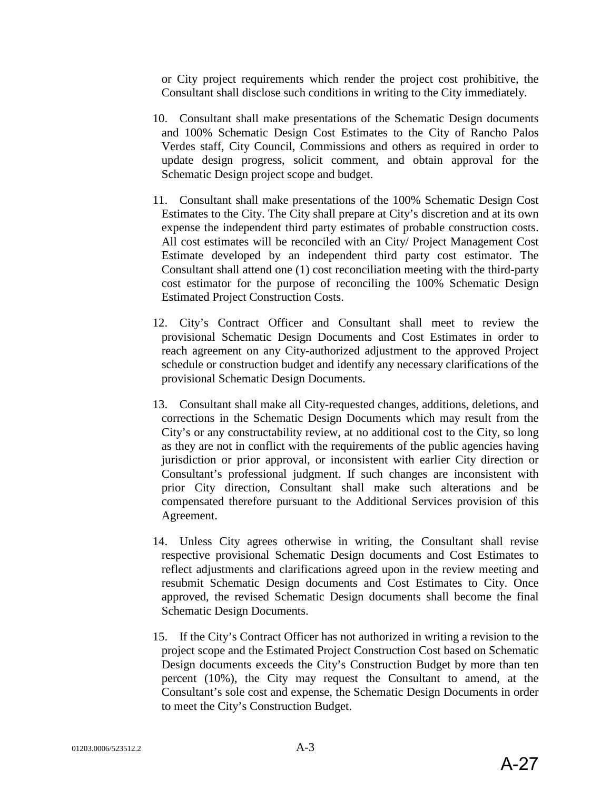or City project requirements which render the project cost prohibitive, the Consultant shall disclose such conditions in writing to the City immediately.

- 10. Consultant shall make presentations of the Schematic Design documents and 100% Schematic Design Cost Estimates to the City of Rancho Palos Verdes staff, City Council, Commissions and others as required in order to update design progress, solicit comment, and obtain approval for the Schematic Design project scope and budget.
- 11. Consultant shall make presentations of the 100% Schematic Design Cost Estimates to the City. The City shall prepare at City's discretion and at its own expense the independent third party estimates of probable construction costs. All cost estimates will be reconciled with an City/ Project Management Cost Estimate developed by an independent third party cost estimator. The Consultant shall attend one (1) cost reconciliation meeting with the third-party cost estimator for the purpose of reconciling the 100% Schematic Design Estimated Project Construction Costs.
- 12. City's Contract Officer and Consultant shall meet to review the provisional Schematic Design Documents and Cost Estimates in order to reach agreement on any City-authorized adjustment to the approved Project schedule or construction budget and identify any necessary clarifications of the provisional Schematic Design Documents.
- 13. Consultant shall make all City-requested changes, additions, deletions, and corrections in the Schematic Design Documents which may result from the City's or any constructability review, at no additional cost to the City, so long as they are not in conflict with the requirements of the public agencies having jurisdiction or prior approval, or inconsistent with earlier City direction or Consultant's professional judgment. If such changes are inconsistent with prior City direction, Consultant shall make such alterations and be compensated therefore pursuant to the Additional Services provision of this Agreement.
- 14. Unless City agrees otherwise in writing, the Consultant shall revise respective provisional Schematic Design documents and Cost Estimates to reflect adjustments and clarifications agreed upon in the review meeting and resubmit Schematic Design documents and Cost Estimates to City. Once approved, the revised Schematic Design documents shall become the final Schematic Design Documents.
- 15. If the City's Contract Officer has not authorized in writing a revision to the project scope and the Estimated Project Construction Cost based on Schematic Design documents exceeds the City's Construction Budget by more than ten percent (10%), the City may request the Consultant to amend, at the Consultant's sole cost and expense, the Schematic Design Documents in order to meet the City's Construction Budget.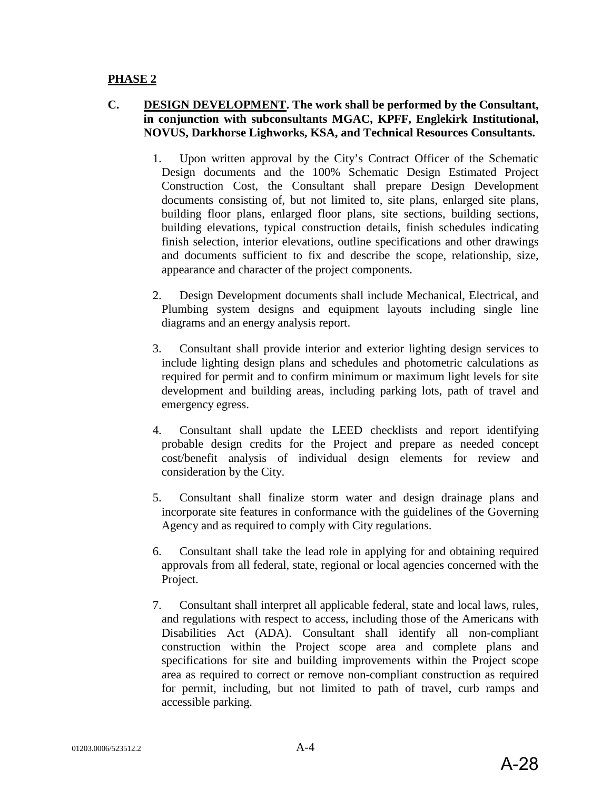#### **PHASE 2**

## **C. DESIGN DEVELOPMENT. The work shall be performed by the Consultant, in conjunction with subconsultants MGAC, KPFF, Englekirk Institutional, NOVUS, Darkhorse Lighworks, KSA, and Technical Resources Consultants.**

- 1. Upon written approval by the City's Contract Officer of the Schematic Design documents and the 100% Schematic Design Estimated Project Construction Cost, the Consultant shall prepare Design Development documents consisting of, but not limited to, site plans, enlarged site plans, building floor plans, enlarged floor plans, site sections, building sections, building elevations, typical construction details, finish schedules indicating finish selection, interior elevations, outline specifications and other drawings and documents sufficient to fix and describe the scope, relationship, size, appearance and character of the project components.
- 2. Design Development documents shall include Mechanical, Electrical, and Plumbing system designs and equipment layouts including single line diagrams and an energy analysis report.
- 3. Consultant shall provide interior and exterior lighting design services to include lighting design plans and schedules and photometric calculations as required for permit and to confirm minimum or maximum light levels for site development and building areas, including parking lots, path of travel and emergency egress.
- 4. Consultant shall update the LEED checklists and report identifying probable design credits for the Project and prepare as needed concept cost/benefit analysis of individual design elements for review and consideration by the City.
- 5. Consultant shall finalize storm water and design drainage plans and incorporate site features in conformance with the guidelines of the Governing Agency and as required to comply with City regulations.
- 6. Consultant shall take the lead role in applying for and obtaining required approvals from all federal, state, regional or local agencies concerned with the Project.
- 7. Consultant shall interpret all applicable federal, state and local laws, rules, and regulations with respect to access, including those of the Americans with Disabilities Act (ADA). Consultant shall identify all non-compliant construction within the Project scope area and complete plans and specifications for site and building improvements within the Project scope area as required to correct or remove non-compliant construction as required for permit, including, but not limited to path of travel, curb ramps and accessible parking.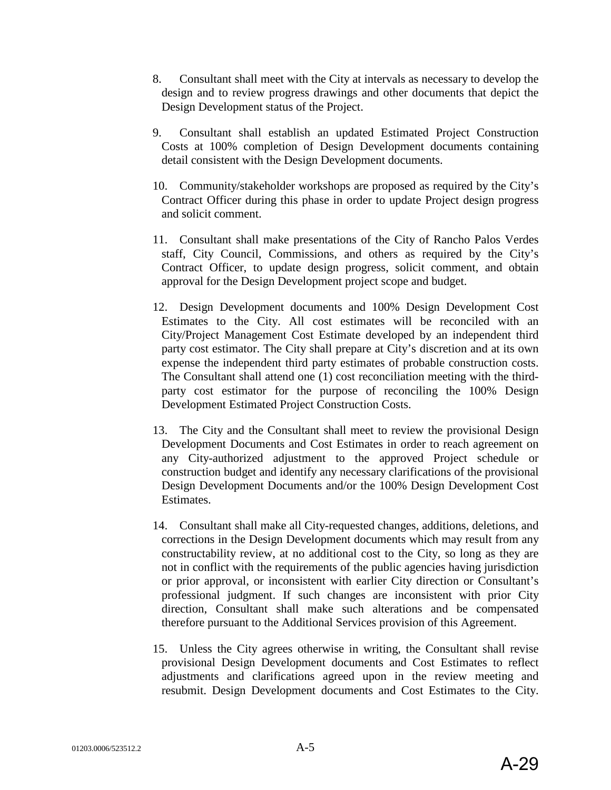- 8. Consultant shall meet with the City at intervals as necessary to develop the design and to review progress drawings and other documents that depict the Design Development status of the Project.
- 9. Consultant shall establish an updated Estimated Project Construction Costs at 100% completion of Design Development documents containing detail consistent with the Design Development documents.
- 10. Community/stakeholder workshops are proposed as required by the City's Contract Officer during this phase in order to update Project design progress and solicit comment.
- 11. Consultant shall make presentations of the City of Rancho Palos Verdes staff, City Council, Commissions, and others as required by the City's Contract Officer, to update design progress, solicit comment, and obtain approval for the Design Development project scope and budget.
- 12. Design Development documents and 100% Design Development Cost Estimates to the City. All cost estimates will be reconciled with an City/Project Management Cost Estimate developed by an independent third party cost estimator. The City shall prepare at City's discretion and at its own expense the independent third party estimates of probable construction costs. The Consultant shall attend one (1) cost reconciliation meeting with the thirdparty cost estimator for the purpose of reconciling the 100% Design Development Estimated Project Construction Costs.
- 13. The City and the Consultant shall meet to review the provisional Design Development Documents and Cost Estimates in order to reach agreement on any City-authorized adjustment to the approved Project schedule or construction budget and identify any necessary clarifications of the provisional Design Development Documents and/or the 100% Design Development Cost Estimates.
- 14. Consultant shall make all City-requested changes, additions, deletions, and corrections in the Design Development documents which may result from any constructability review, at no additional cost to the City, so long as they are not in conflict with the requirements of the public agencies having jurisdiction or prior approval, or inconsistent with earlier City direction or Consultant's professional judgment. If such changes are inconsistent with prior City direction, Consultant shall make such alterations and be compensated therefore pursuant to the Additional Services provision of this Agreement.
- 15. Unless the City agrees otherwise in writing, the Consultant shall revise provisional Design Development documents and Cost Estimates to reflect adjustments and clarifications agreed upon in the review meeting and resubmit. Design Development documents and Cost Estimates to the City.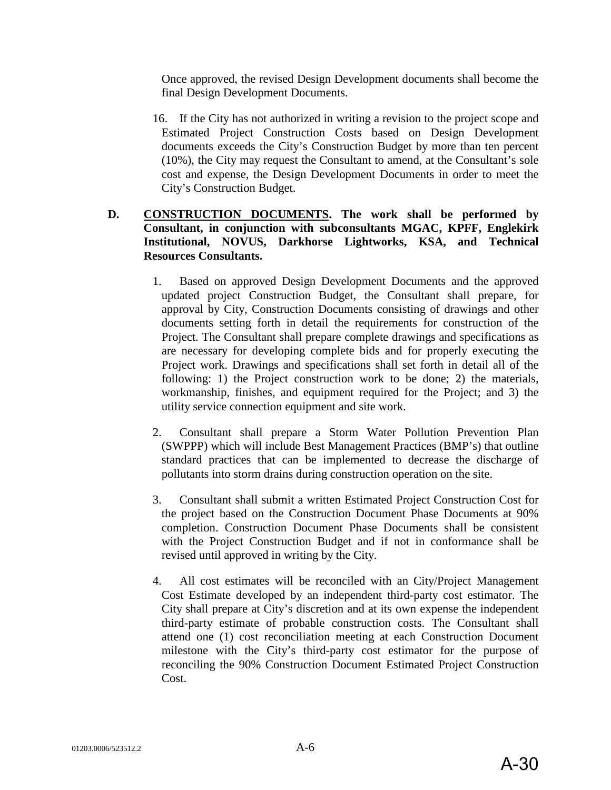Once approved, the revised Design Development documents shall become the final Design Development Documents.

16. If the City has not authorized in writing a revision to the project scope and Estimated Project Construction Costs based on Design Development documents exceeds the City's Construction Budget by more than ten percent (10%), the City may request the Consultant to amend, at the Consultant's sole cost and expense, the Design Development Documents in order to meet the City's Construction Budget.

## **D. CONSTRUCTION DOCUMENTS. The work shall be performed by Consultant, in conjunction with subconsultants MGAC, KPFF, Englekirk Institutional, NOVUS, Darkhorse Lightworks, KSA, and Technical Resources Consultants.**

- 1. Based on approved Design Development Documents and the approved updated project Construction Budget, the Consultant shall prepare, for approval by City, Construction Documents consisting of drawings and other documents setting forth in detail the requirements for construction of the Project. The Consultant shall prepare complete drawings and specifications as are necessary for developing complete bids and for properly executing the Project work. Drawings and specifications shall set forth in detail all of the following: 1) the Project construction work to be done; 2) the materials, workmanship, finishes, and equipment required for the Project; and 3) the utility service connection equipment and site work.
- 2. Consultant shall prepare a Storm Water Pollution Prevention Plan (SWPPP) which will include Best Management Practices (BMP's) that outline standard practices that can be implemented to decrease the discharge of pollutants into storm drains during construction operation on the site.
- 3. Consultant shall submit a written Estimated Project Construction Cost for the project based on the Construction Document Phase Documents at 90% completion. Construction Document Phase Documents shall be consistent with the Project Construction Budget and if not in conformance shall be revised until approved in writing by the City.
- 4. All cost estimates will be reconciled with an City/Project Management Cost Estimate developed by an independent third-party cost estimator. The City shall prepare at City's discretion and at its own expense the independent third-party estimate of probable construction costs. The Consultant shall attend one (1) cost reconciliation meeting at each Construction Document milestone with the City's third-party cost estimator for the purpose of reconciling the 90% Construction Document Estimated Project Construction Cost.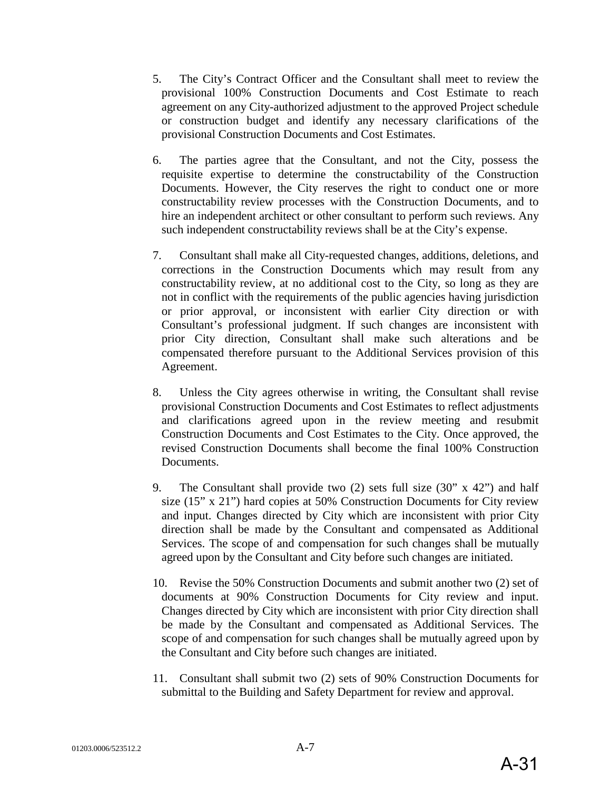- 5. The City's Contract Officer and the Consultant shall meet to review the provisional 100% Construction Documents and Cost Estimate to reach agreement on any City-authorized adjustment to the approved Project schedule or construction budget and identify any necessary clarifications of the provisional Construction Documents and Cost Estimates.
- 6. The parties agree that the Consultant, and not the City, possess the requisite expertise to determine the constructability of the Construction Documents. However, the City reserves the right to conduct one or more constructability review processes with the Construction Documents, and to hire an independent architect or other consultant to perform such reviews. Any such independent constructability reviews shall be at the City's expense.
- 7. Consultant shall make all City-requested changes, additions, deletions, and corrections in the Construction Documents which may result from any constructability review, at no additional cost to the City, so long as they are not in conflict with the requirements of the public agencies having jurisdiction or prior approval, or inconsistent with earlier City direction or with Consultant's professional judgment. If such changes are inconsistent with prior City direction, Consultant shall make such alterations and be compensated therefore pursuant to the Additional Services provision of this Agreement.
- 8. Unless the City agrees otherwise in writing, the Consultant shall revise provisional Construction Documents and Cost Estimates to reflect adjustments and clarifications agreed upon in the review meeting and resubmit Construction Documents and Cost Estimates to the City. Once approved, the revised Construction Documents shall become the final 100% Construction Documents.
- 9. The Consultant shall provide two (2) sets full size (30" x 42") and half size (15" x 21") hard copies at 50% Construction Documents for City review and input. Changes directed by City which are inconsistent with prior City direction shall be made by the Consultant and compensated as Additional Services. The scope of and compensation for such changes shall be mutually agreed upon by the Consultant and City before such changes are initiated.
- 10. Revise the 50% Construction Documents and submit another two (2) set of documents at 90% Construction Documents for City review and input. Changes directed by City which are inconsistent with prior City direction shall be made by the Consultant and compensated as Additional Services. The scope of and compensation for such changes shall be mutually agreed upon by the Consultant and City before such changes are initiated.
- 11. Consultant shall submit two (2) sets of 90% Construction Documents for submittal to the Building and Safety Department for review and approval.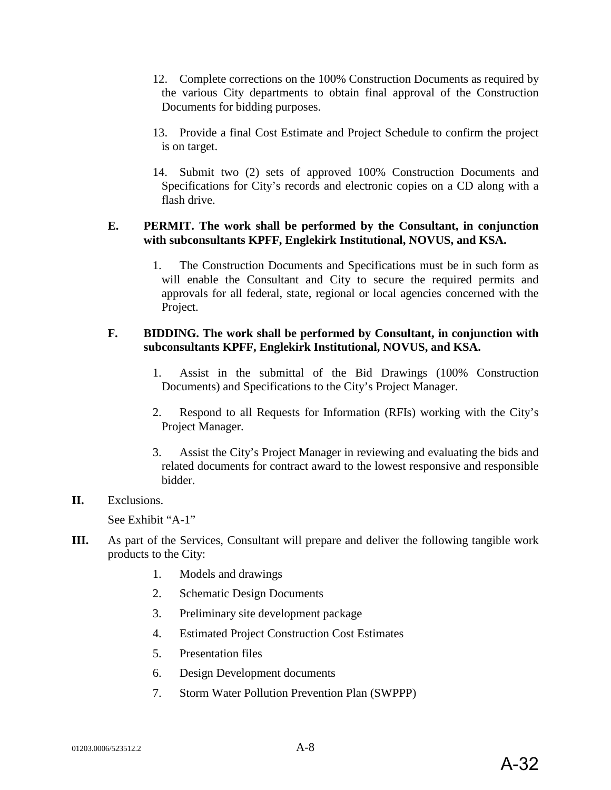- 12. Complete corrections on the 100% Construction Documents as required by the various City departments to obtain final approval of the Construction Documents for bidding purposes.
- 13. Provide a final Cost Estimate and Project Schedule to confirm the project is on target.
- 14. Submit two (2) sets of approved 100% Construction Documents and Specifications for City's records and electronic copies on a CD along with a flash drive.

#### **E. PERMIT. The work shall be performed by the Consultant, in conjunction with subconsultants KPFF, Englekirk Institutional, NOVUS, and KSA.**

1. The Construction Documents and Specifications must be in such form as will enable the Consultant and City to secure the required permits and approvals for all federal, state, regional or local agencies concerned with the Project.

#### **F. BIDDING. The work shall be performed by Consultant, in conjunction with subconsultants KPFF, Englekirk Institutional, NOVUS, and KSA.**

- 1. Assist in the submittal of the Bid Drawings (100% Construction Documents) and Specifications to the City's Project Manager.
- 2. Respond to all Requests for Information (RFIs) working with the City's Project Manager.
- 3. Assist the City's Project Manager in reviewing and evaluating the bids and related documents for contract award to the lowest responsive and responsible bidder.

#### **II.** Exclusions.

See Exhibit "A-1"

- **III.** As part of the Services, Consultant will prepare and deliver the following tangible work products to the City:
	- 1. Models and drawings
	- 2. Schematic Design Documents
	- 3. Preliminary site development package
	- 4. Estimated Project Construction Cost Estimates
	- 5. Presentation files
	- 6. Design Development documents
	- 7. Storm Water Pollution Prevention Plan (SWPPP)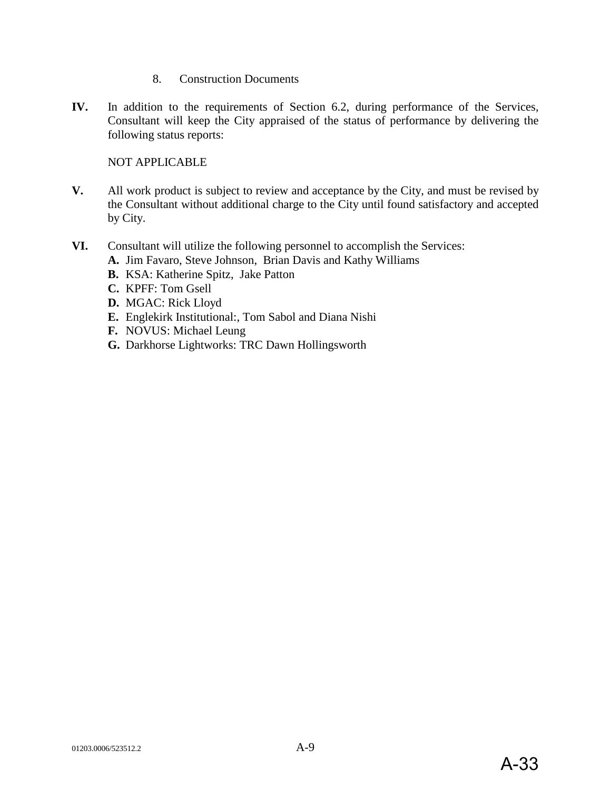- 8. Construction Documents
- **IV.** In addition to the requirements of Section 6.2, during performance of the Services, Consultant will keep the City appraised of the status of performance by delivering the following status reports:

NOT APPLICABLE

- **V.** All work product is subject to review and acceptance by the City, and must be revised by the Consultant without additional charge to the City until found satisfactory and accepted by City.
- **VI.** Consultant will utilize the following personnel to accomplish the Services:
	- **A.** Jim Favaro, Steve Johnson, Brian Davis and Kathy Williams
	- **B.** KSA: Katherine Spitz, Jake Patton
	- **C.** KPFF: Tom Gsell
	- **D.** MGAC: Rick Lloyd
	- **E.** Englekirk Institutional:, Tom Sabol and Diana Nishi
	- **F.** NOVUS: Michael Leung
	- **G.** Darkhorse Lightworks: TRC Dawn Hollingsworth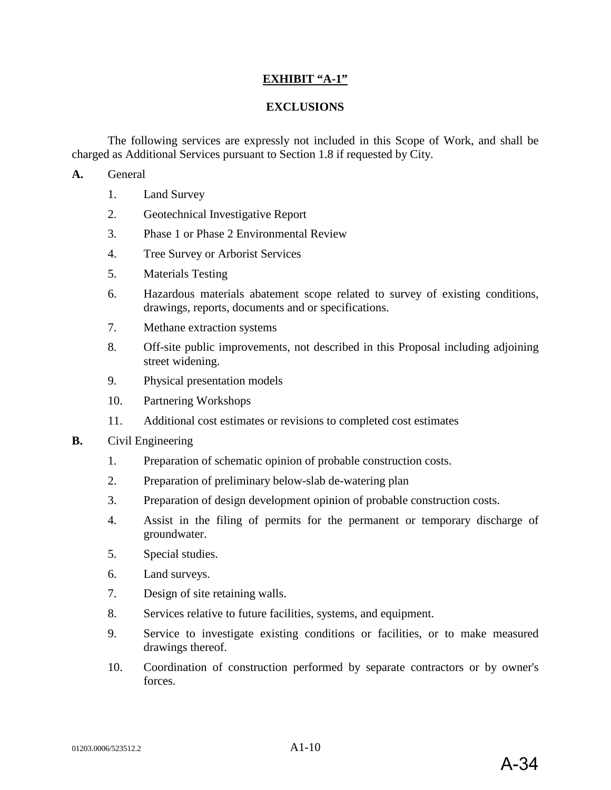#### **EXHIBIT "A-1"**

#### **EXCLUSIONS**

The following services are expressly not included in this Scope of Work, and shall be charged as Additional Services pursuant to Section 1.8 if requested by City.

**A.** General

- 1. Land Survey
- 2. Geotechnical Investigative Report
- 3. Phase 1 or Phase 2 Environmental Review
- 4. Tree Survey or Arborist Services
- 5. Materials Testing
- 6. Hazardous materials abatement scope related to survey of existing conditions, drawings, reports, documents and or specifications.
- 7. Methane extraction systems
- 8. Off-site public improvements, not described in this Proposal including adjoining street widening.
- 9. Physical presentation models
- 10. Partnering Workshops
- 11. Additional cost estimates or revisions to completed cost estimates
- **B.** Civil Engineering
	- 1. Preparation of schematic opinion of probable construction costs.
	- 2. Preparation of preliminary below-slab de-watering plan
	- 3. Preparation of design development opinion of probable construction costs.
	- 4. Assist in the filing of permits for the permanent or temporary discharge of groundwater.
	- 5. Special studies.
	- 6. Land surveys.
	- 7. Design of site retaining walls.
	- 8. Services relative to future facilities, systems, and equipment.
	- 9. Service to investigate existing conditions or facilities, or to make measured drawings thereof.
	- 10. Coordination of construction performed by separate contractors or by owner's forces.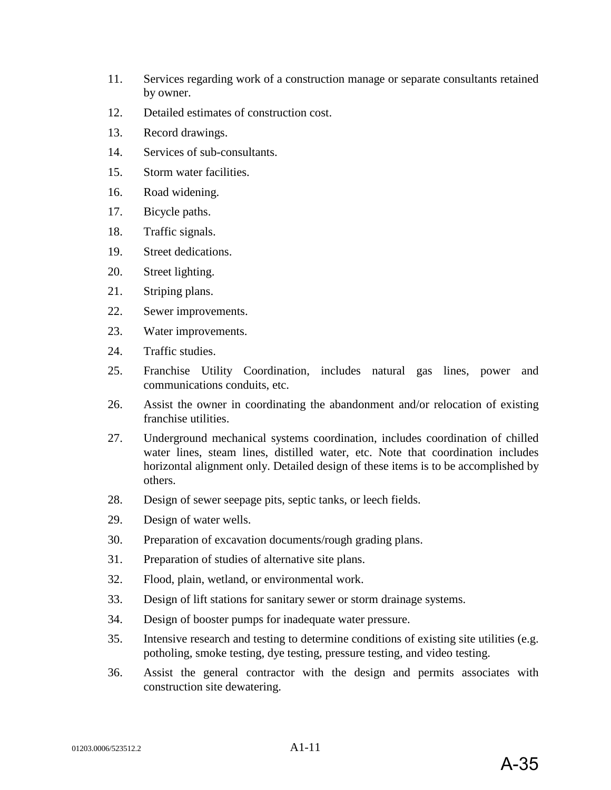- 11. Services regarding work of a construction manage or separate consultants retained by owner.
- 12. Detailed estimates of construction cost.
- 13. Record drawings.
- 14. Services of sub-consultants.
- 15. Storm water facilities.
- 16. Road widening.
- 17. Bicycle paths.
- 18. Traffic signals.
- 19. Street dedications.
- 20. Street lighting.
- 21. Striping plans.
- 22. Sewer improvements.
- 23. Water improvements.
- 24. Traffic studies.
- 25. Franchise Utility Coordination, includes natural gas lines, power and communications conduits, etc.
- 26. Assist the owner in coordinating the abandonment and/or relocation of existing franchise utilities.
- 27. Underground mechanical systems coordination, includes coordination of chilled water lines, steam lines, distilled water, etc. Note that coordination includes horizontal alignment only. Detailed design of these items is to be accomplished by others.
- 28. Design of sewer seepage pits, septic tanks, or leech fields.
- 29. Design of water wells.
- 30. Preparation of excavation documents/rough grading plans.
- 31. Preparation of studies of alternative site plans.
- 32. Flood, plain, wetland, or environmental work.
- 33. Design of lift stations for sanitary sewer or storm drainage systems.
- 34. Design of booster pumps for inadequate water pressure.
- 35. Intensive research and testing to determine conditions of existing site utilities (e.g. potholing, smoke testing, dye testing, pressure testing, and video testing.
- 36. Assist the general contractor with the design and permits associates with construction site dewatering.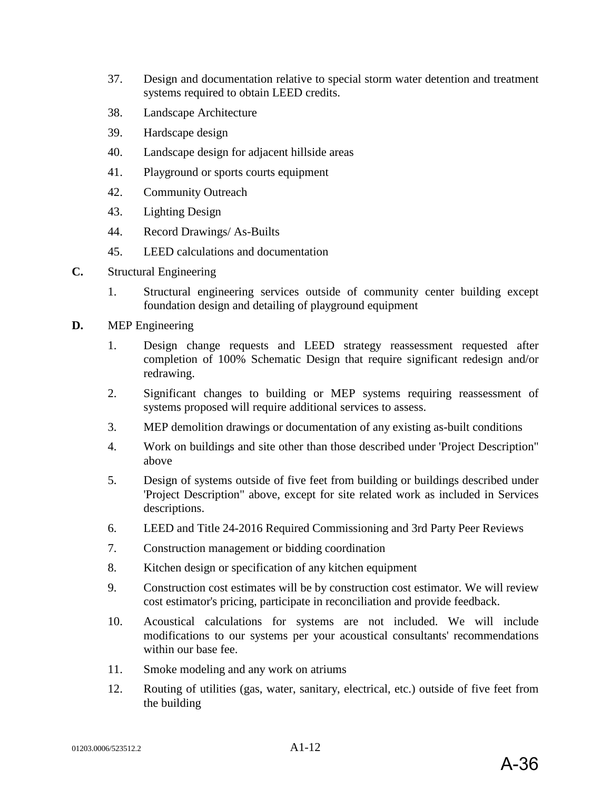- 37. Design and documentation relative to special storm water detention and treatment systems required to obtain LEED credits.
- 38. Landscape Architecture
- 39. Hardscape design
- 40. Landscape design for adjacent hillside areas
- 41. Playground or sports courts equipment
- 42. Community Outreach
- 43. Lighting Design
- 44. Record Drawings/ As-Builts
- 45. LEED calculations and documentation
- **C.** Structural Engineering
	- 1. Structural engineering services outside of community center building except foundation design and detailing of playground equipment
- **D.** MEP Engineering
	- 1. Design change requests and LEED strategy reassessment requested after completion of 100% Schematic Design that require significant redesign and/or redrawing.
	- 2. Significant changes to building or MEP systems requiring reassessment of systems proposed will require additional services to assess.
	- 3. MEP demolition drawings or documentation of any existing as-built conditions
	- 4. Work on buildings and site other than those described under 'Project Description" above
	- 5. Design of systems outside of five feet from building or buildings described under 'Project Description" above, except for site related work as included in Services descriptions.
	- 6. LEED and Title 24-2016 Required Commissioning and 3rd Party Peer Reviews
	- 7. Construction management or bidding coordination
	- 8. Kitchen design or specification of any kitchen equipment
	- 9. Construction cost estimates will be by construction cost estimator. We will review cost estimator's pricing, participate in reconciliation and provide feedback.
	- 10. Acoustical calculations for systems are not included. We will include modifications to our systems per your acoustical consultants' recommendations within our base fee.
	- 11. Smoke modeling and any work on atriums
	- 12. Routing of utilities (gas, water, sanitary, electrical, etc.) outside of five feet from the building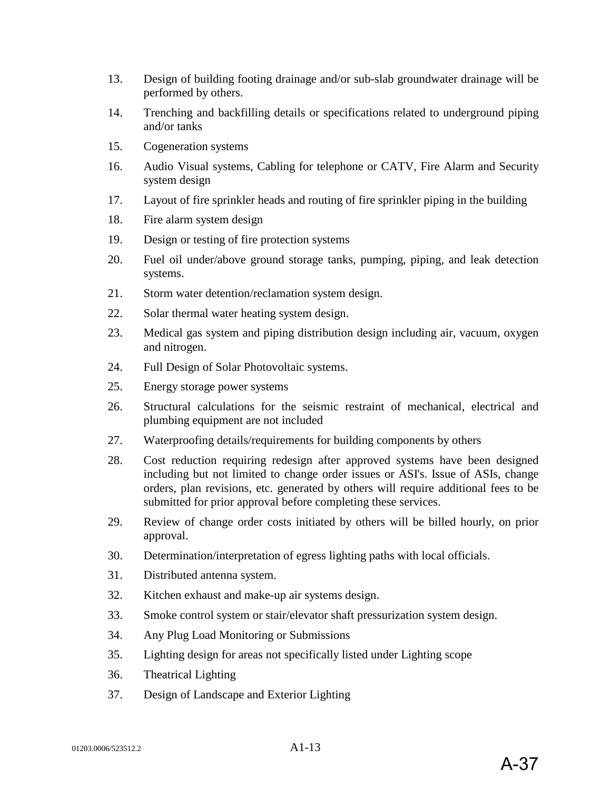- 13. Design of building footing drainage and/or sub-slab groundwater drainage will be performed by others.
- 14. Trenching and backfilling details or specifications related to underground piping and/or tanks
- 15. Cogeneration systems
- 16. Audio Visual systems, Cabling for telephone or CATV, Fire Alarm and Security system design
- 17. Layout of fire sprinkler heads and routing of fire sprinkler piping in the building
- 18. Fire alarm system design
- 19. Design or testing of fire protection systems
- 20. Fuel oil under/above ground storage tanks, pumping, piping, and leak detection systems.
- 21. Storm water detention/reclamation system design.
- 22. Solar thermal water heating system design.
- 23. Medical gas system and piping distribution design including air, vacuum, oxygen and nitrogen.
- 24. Full Design of Solar Photovoltaic systems.
- 25. Energy storage power systems
- 26. Structural calculations for the seismic restraint of mechanical, electrical and plumbing equipment are not included
- 27. Waterproofing details/requirements for building components by others
- 28. Cost reduction requiring redesign after approved systems have been designed including but not limited to change order issues or ASI's. Issue of ASIs, change orders, plan revisions, etc. generated by others will require additional fees to be submitted for prior approval before completing these services.
- 29. Review of change order costs initiated by others will be billed hourly, on prior approval.
- 30. Determination/interpretation of egress lighting paths with local officials.
- 31. Distributed antenna system.
- 32. Kitchen exhaust and make-up air systems design.
- 33. Smoke control system or stair/elevator shaft pressurization system design.
- 34. Any Plug Load Monitoring or Submissions
- 35. Lighting design for areas not specifically listed under Lighting scope
- 36. Theatrical Lighting
- 37. Design of Landscape and Exterior Lighting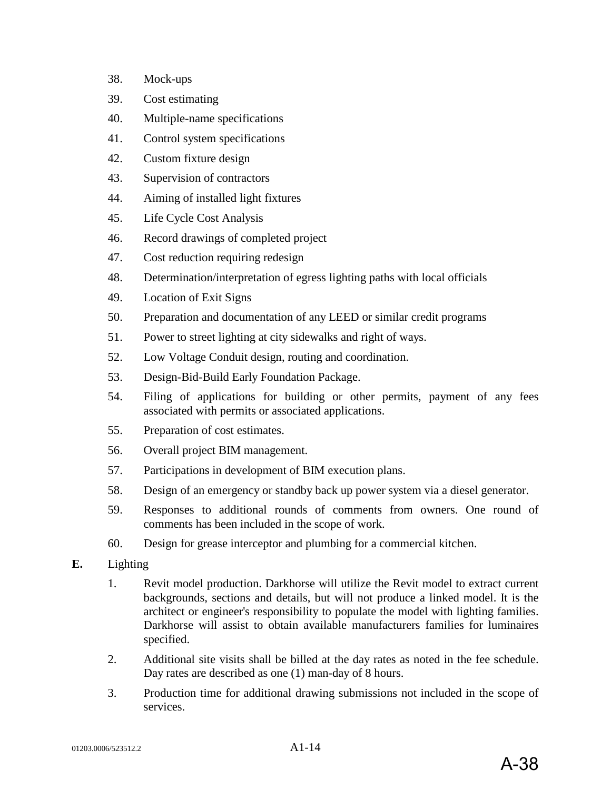- 38. Mock-ups
- 39. Cost estimating
- 40. Multiple-name specifications
- 41. Control system specifications
- 42. Custom fixture design
- 43. Supervision of contractors
- 44. Aiming of installed light fixtures
- 45. Life Cycle Cost Analysis
- 46. Record drawings of completed project
- 47. Cost reduction requiring redesign
- 48. Determination/interpretation of egress lighting paths with local officials
- 49. Location of Exit Signs
- 50. Preparation and documentation of any LEED or similar credit programs
- 51. Power to street lighting at city sidewalks and right of ways.
- 52. Low Voltage Conduit design, routing and coordination.
- 53. Design-Bid-Build Early Foundation Package.
- 54. Filing of applications for building or other permits, payment of any fees associated with permits or associated applications.
- 55. Preparation of cost estimates.
- 56. Overall project BIM management.
- 57. Participations in development of BIM execution plans.
- 58. Design of an emergency or standby back up power system via a diesel generator.
- 59. Responses to additional rounds of comments from owners. One round of comments has been included in the scope of work.
- 60. Design for grease interceptor and plumbing for a commercial kitchen.
- **E.** Lighting
	- 1. Revit model production. Darkhorse will utilize the Revit model to extract current backgrounds, sections and details, but will not produce a linked model. It is the architect or engineer's responsibility to populate the model with lighting families. Darkhorse will assist to obtain available manufacturers families for luminaires specified.
	- 2. Additional site visits shall be billed at the day rates as noted in the fee schedule. Day rates are described as one (1) man-day of 8 hours.
	- 3. Production time for additional drawing submissions not included in the scope of services.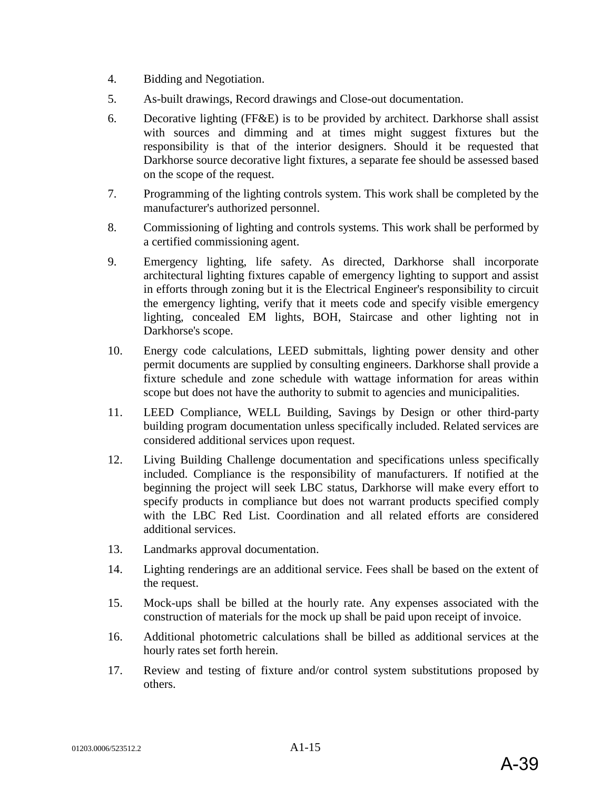- 4. Bidding and Negotiation.
- 5. As-built drawings, Record drawings and Close-out documentation.
- 6. Decorative lighting (FF&E) is to be provided by architect. Darkhorse shall assist with sources and dimming and at times might suggest fixtures but the responsibility is that of the interior designers. Should it be requested that Darkhorse source decorative light fixtures, a separate fee should be assessed based on the scope of the request.
- 7. Programming of the lighting controls system. This work shall be completed by the manufacturer's authorized personnel.
- 8. Commissioning of lighting and controls systems. This work shall be performed by a certified commissioning agent.
- 9. Emergency lighting, life safety. As directed, Darkhorse shall incorporate architectural lighting fixtures capable of emergency lighting to support and assist in efforts through zoning but it is the Electrical Engineer's responsibility to circuit the emergency lighting, verify that it meets code and specify visible emergency lighting, concealed EM lights, BOH, Staircase and other lighting not in Darkhorse's scope.
- 10. Energy code calculations, LEED submittals, lighting power density and other permit documents are supplied by consulting engineers. Darkhorse shall provide a fixture schedule and zone schedule with wattage information for areas within scope but does not have the authority to submit to agencies and municipalities.
- 11. LEED Compliance, WELL Building, Savings by Design or other third-party building program documentation unless specifically included. Related services are considered additional services upon request.
- 12. Living Building Challenge documentation and specifications unless specifically included. Compliance is the responsibility of manufacturers. If notified at the beginning the project will seek LBC status, Darkhorse will make every effort to specify products in compliance but does not warrant products specified comply with the LBC Red List. Coordination and all related efforts are considered additional services.
- 13. Landmarks approval documentation.
- 14. Lighting renderings are an additional service. Fees shall be based on the extent of the request.
- 15. Mock-ups shall be billed at the hourly rate. Any expenses associated with the construction of materials for the mock up shall be paid upon receipt of invoice.
- 16. Additional photometric calculations shall be billed as additional services at the hourly rates set forth herein.
- 17. Review and testing of fixture and/or control system substitutions proposed by others.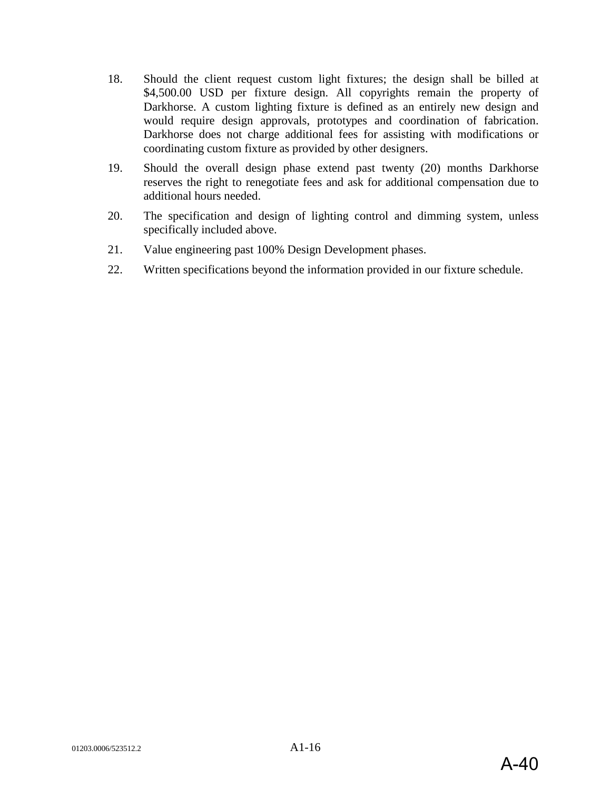- 18. Should the client request custom light fixtures; the design shall be billed at \$4,500.00 USD per fixture design. All copyrights remain the property of Darkhorse. A custom lighting fixture is defined as an entirely new design and would require design approvals, prototypes and coordination of fabrication. Darkhorse does not charge additional fees for assisting with modifications or coordinating custom fixture as provided by other designers.
- 19. Should the overall design phase extend past twenty (20) months Darkhorse reserves the right to renegotiate fees and ask for additional compensation due to additional hours needed.
- 20. The specification and design of lighting control and dimming system, unless specifically included above.
- 21. Value engineering past 100% Design Development phases.
- 22. Written specifications beyond the information provided in our fixture schedule.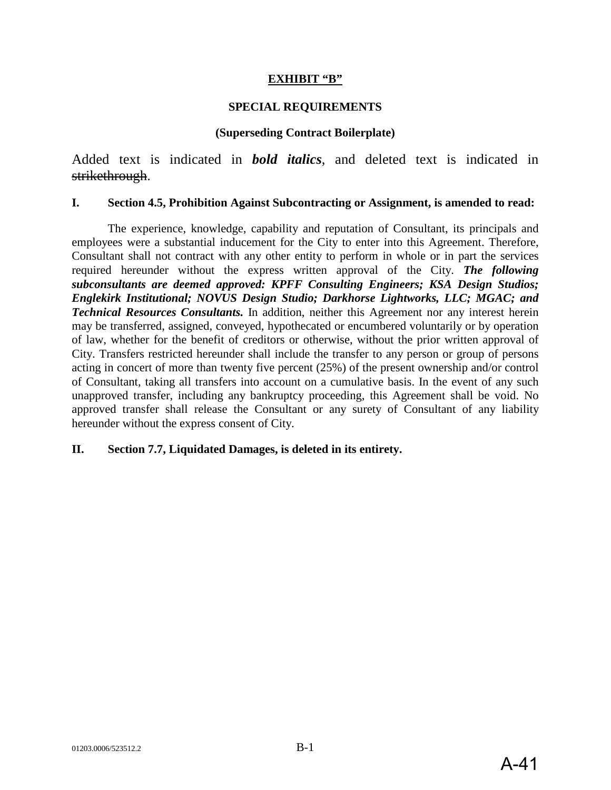#### **EXHIBIT "B"**

#### **SPECIAL REQUIREMENTS**

#### **(Superseding Contract Boilerplate)**

Added text is indicated in *bold italics*, and deleted text is indicated in strikethrough.

#### **I. Section 4.5, Prohibition Against Subcontracting or Assignment, is amended to read:**

The experience, knowledge, capability and reputation of Consultant, its principals and employees were a substantial inducement for the City to enter into this Agreement. Therefore, Consultant shall not contract with any other entity to perform in whole or in part the services required hereunder without the express written approval of the City. *The following subconsultants are deemed approved: KPFF Consulting Engineers; KSA Design Studios; Englekirk Institutional; NOVUS Design Studio; Darkhorse Lightworks, LLC; MGAC; and Technical Resources Consultants.* In addition, neither this Agreement nor any interest herein may be transferred, assigned, conveyed, hypothecated or encumbered voluntarily or by operation of law, whether for the benefit of creditors or otherwise, without the prior written approval of City. Transfers restricted hereunder shall include the transfer to any person or group of persons acting in concert of more than twenty five percent (25%) of the present ownership and/or control of Consultant, taking all transfers into account on a cumulative basis. In the event of any such unapproved transfer, including any bankruptcy proceeding, this Agreement shall be void. No approved transfer shall release the Consultant or any surety of Consultant of any liability hereunder without the express consent of City.

#### **II. Section 7.7, Liquidated Damages, is deleted in its entirety.**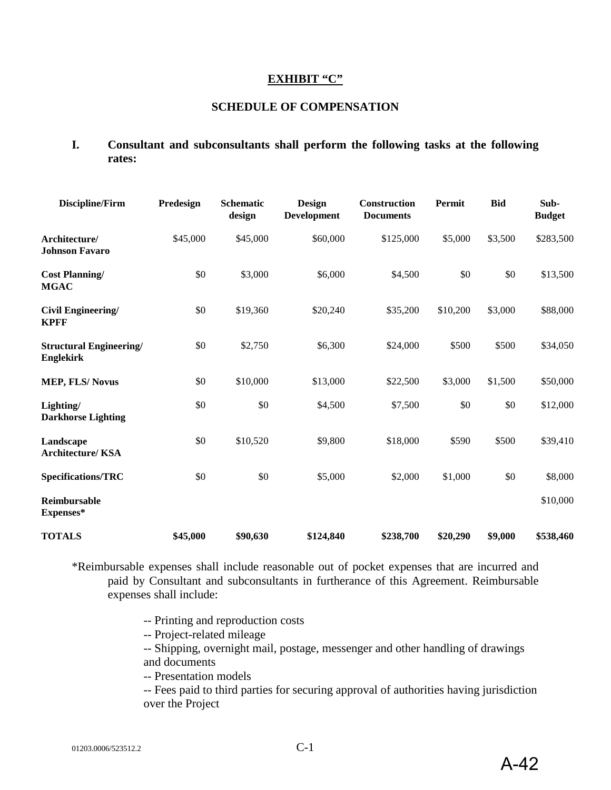#### **EXHIBIT "C"**

#### **SCHEDULE OF COMPENSATION**

**I. Consultant and subconsultants shall perform the following tasks at the following rates:** 

| <b>Discipline/Firm</b>                             | Predesign | <b>Schematic</b><br>design | <b>Design</b><br><b>Development</b> | Construction<br><b>Documents</b> | Permit   | <b>Bid</b> | Sub-<br><b>Budget</b> |
|----------------------------------------------------|-----------|----------------------------|-------------------------------------|----------------------------------|----------|------------|-----------------------|
| Architecture/<br><b>Johnson Favaro</b>             | \$45,000  | \$45,000                   | \$60,000                            | \$125,000                        | \$5,000  | \$3,500    | \$283,500             |
| <b>Cost Planning/</b><br><b>MGAC</b>               | \$0       | \$3,000                    | \$6,000                             | \$4,500                          | \$0      | \$0        | \$13,500              |
| Civil Engineering/<br><b>KPFF</b>                  | \$0       | \$19,360                   | \$20,240                            | \$35,200                         | \$10,200 | \$3,000    | \$88,000              |
| <b>Structural Engineering/</b><br><b>Englekirk</b> | \$0       | \$2,750                    | \$6,300                             | \$24,000                         | \$500    | \$500      | \$34,050              |
| <b>MEP, FLS/Novus</b>                              | \$0       | \$10,000                   | \$13,000                            | \$22,500                         | \$3,000  | \$1,500    | \$50,000              |
| Lighting/<br><b>Darkhorse Lighting</b>             | \$0       | \$0                        | \$4,500                             | \$7,500                          | \$0      | \$0        | \$12,000              |
| Landscape<br><b>Architecture/KSA</b>               | \$0       | \$10,520                   | \$9,800                             | \$18,000                         | \$590    | \$500      | \$39,410              |
| Specifications/TRC                                 | \$0       | \$0                        | \$5,000                             | \$2,000                          | \$1,000  | $\$0$      | \$8,000               |
| Reimbursable<br>Expenses*                          |           |                            |                                     |                                  |          |            | \$10,000              |
| <b>TOTALS</b>                                      | \$45,000  | \$90,630                   | \$124,840                           | \$238,700                        | \$20,290 | \$9,000    | \$538,460             |

\*Reimbursable expenses shall include reasonable out of pocket expenses that are incurred and paid by Consultant and subconsultants in furtherance of this Agreement. Reimbursable expenses shall include:

- -- Printing and reproduction costs
- -- Project-related mileage

-- Shipping, overnight mail, postage, messenger and other handling of drawings and documents

-- Presentation models

-- Fees paid to third parties for securing approval of authorities having jurisdiction over the Project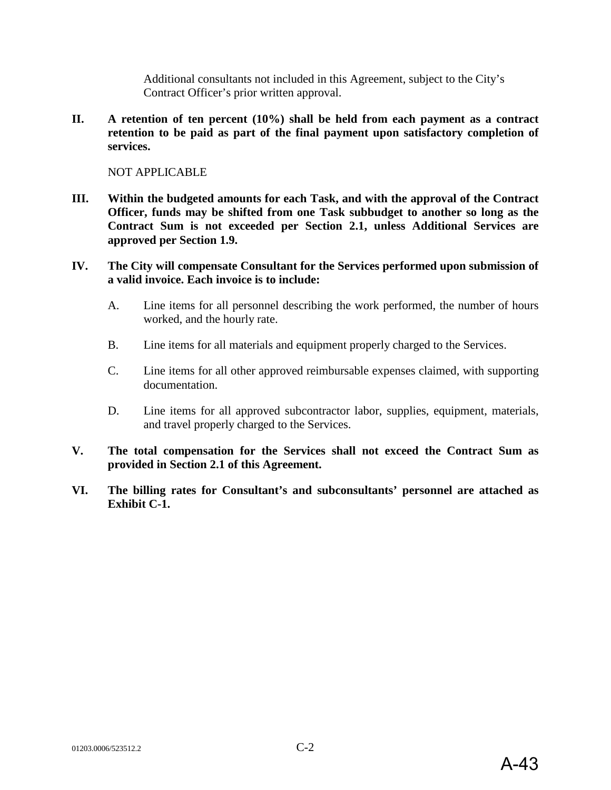Additional consultants not included in this Agreement, subject to the City's Contract Officer's prior written approval.

**II. A retention of ten percent (10%) shall be held from each payment as a contract retention to be paid as part of the final payment upon satisfactory completion of services.**

NOT APPLICABLE

- **III. Within the budgeted amounts for each Task, and with the approval of the Contract Officer, funds may be shifted from one Task subbudget to another so long as the Contract Sum is not exceeded per Section 2.1, unless Additional Services are approved per Section 1.9.**
- **IV. The City will compensate Consultant for the Services performed upon submission of a valid invoice. Each invoice is to include:**
	- A. Line items for all personnel describing the work performed, the number of hours worked, and the hourly rate.
	- B. Line items for all materials and equipment properly charged to the Services.
	- C. Line items for all other approved reimbursable expenses claimed, with supporting documentation.
	- D. Line items for all approved subcontractor labor, supplies, equipment, materials, and travel properly charged to the Services.
- **V. The total compensation for the Services shall not exceed the Contract Sum as provided in Section 2.1 of this Agreement.**
- **VI. The billing rates for Consultant's and subconsultants' personnel are attached as Exhibit C-1.**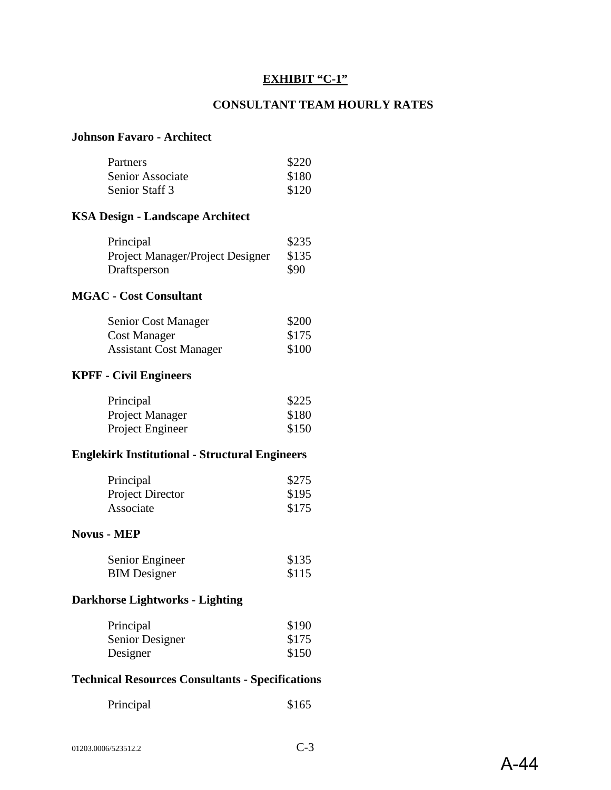#### **EXHIBIT "C-1"**

## **CONSULTANT TEAM HOURLY RATES**

## **Johnson Favaro - Architect**

| Partners         | \$220 |
|------------------|-------|
| Senior Associate | \$180 |
| Senior Staff 3   | \$120 |

# **KSA Design - Landscape Architect**

| Principal                        | \$235 |
|----------------------------------|-------|
| Project Manager/Project Designer | \$135 |
| Draftsperson                     | \$90  |

#### **MGAC - Cost Consultant**

| Senior Cost Manager           | \$200 |
|-------------------------------|-------|
| Cost Manager                  | \$175 |
| <b>Assistant Cost Manager</b> | \$100 |

#### **KPFF - Civil Engineers**

| Principal        | \$225 |
|------------------|-------|
| Project Manager  | \$180 |
| Project Engineer | \$150 |

## **Englekirk Institutional - Structural Engineers**

| Principal               | \$275 |
|-------------------------|-------|
| <b>Project Director</b> | \$195 |
| Associate               | \$175 |

#### **Novus - MEP**

| Senior Engineer     | \$135 |
|---------------------|-------|
| <b>BIM</b> Designer | \$115 |

# **Darkhorse Lightworks - Lighting**

| Principal       | \$190 |
|-----------------|-------|
| Senior Designer | \$175 |
| Designer        | \$150 |

## **Technical Resources Consultants - Specifications**

| Principal | \$165 |
|-----------|-------|
|-----------|-------|